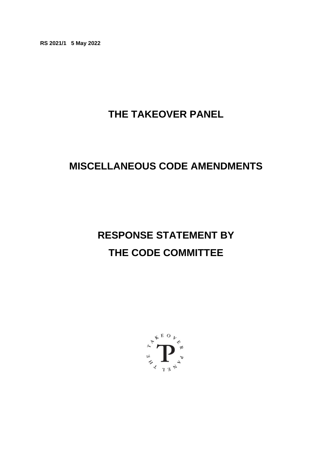**RS 2021/1 5 May 2022**

# **THE TAKEOVER PANEL**

## **MISCELLANEOUS CODE AMENDMENTS**

# **RESPONSE STATEMENT BY THE CODE COMMITTEE**

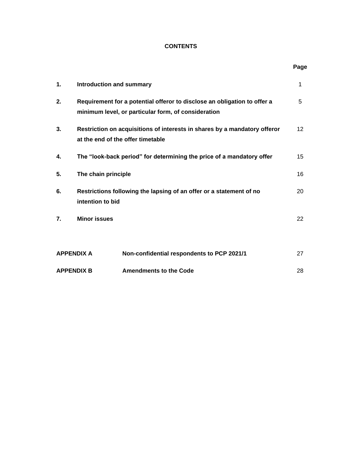## **CONTENTS**

**Page**

| 1.                | <b>Introduction and summary</b>                                                                                                 |                                            |    |
|-------------------|---------------------------------------------------------------------------------------------------------------------------------|--------------------------------------------|----|
| 2.                | Requirement for a potential offeror to disclose an obligation to offer a<br>minimum level, or particular form, of consideration |                                            |    |
| 3.                | Restriction on acquisitions of interests in shares by a mandatory offeror<br>at the end of the offer timetable                  |                                            | 12 |
| 4.                | The "look-back period" for determining the price of a mandatory offer                                                           |                                            |    |
| 5.                | The chain principle                                                                                                             |                                            | 16 |
| 6.                | Restrictions following the lapsing of an offer or a statement of no<br>intention to bid                                         |                                            | 20 |
| 7.                | <b>Minor issues</b>                                                                                                             |                                            | 22 |
|                   |                                                                                                                                 |                                            |    |
| <b>APPENDIX A</b> |                                                                                                                                 | Non-confidential respondents to PCP 2021/1 | 27 |
| <b>APPENDIX B</b> |                                                                                                                                 | <b>Amendments to the Code</b>              | 28 |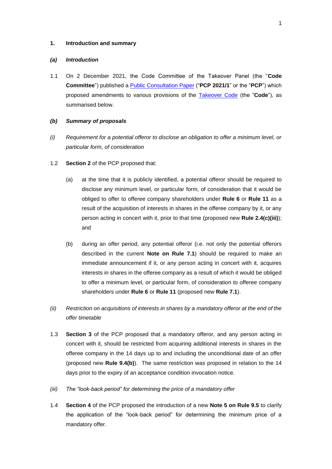#### **1. Introduction and summary**

#### *(a) Introduction*

1.1 On 2 December 2021, the Code Committee of the Takeover Panel (the "**Code Committee**") published a [Public Consultation Paper](https://www.thetakeoverpanel.org.uk/wp-content/uploads/2021/12/PCP-2021_1-Miscellaneous-Code-amendments.pdf) ("**PCP 2021/1**" or the "**PCP**") which proposed amendments to various provisions of the [Takeover Code](https://www.thetakeoverpanel.org.uk/the-code/download-code) (the "**Code**"), as summarised below.

#### *(b) Summary of proposals*

- *(i) Requirement for a potential offeror to disclose an obligation to offer a minimum level, or particular form, of consideration*
- 1.2 **Section 2** of the PCP proposed that:
	- (a) at the time that it is publicly identified, a potential offeror should be required to disclose any minimum level, or particular form, of consideration that it would be obliged to offer to offeree company shareholders under **Rule 6** or **Rule 11** as a result of the acquisition of interests in shares in the offeree company by it, or any person acting in concert with it, prior to that time (proposed new **Rule 2.4(c)(iii)**); and
	- (b) during an offer period, any potential offeror (i.e. not only the potential offerors described in the current **Note on Rule 7.1**) should be required to make an immediate announcement if it, or any person acting in concert with it, acquires interests in shares in the offeree company as a result of which it would be obliged to offer a minimum level, or particular form, of consideration to offeree company shareholders under **Rule 6** or **Rule 11** (proposed new **Rule 7.1**).
- *(ii) Restriction on acquisitions of interests in shares by a mandatory offeror at the end of the offer timetable*
- 1.3 **Section 3** of the PCP proposed that a mandatory offeror, and any person acting in concert with it, should be restricted from acquiring additional interests in shares in the offeree company in the 14 days up to and including the unconditional date of an offer (proposed new **Rule 9.4(b)**). The same restriction was proposed in relation to the 14 days prior to the expiry of an acceptance condition invocation notice.
- *(iii) The "look-back period" for determining the price of a mandatory offer*
- 1.4 **Section 4** of the PCP proposed the introduction of a new **Note 5 on Rule 9.5** to clarify the application of the "look-back period" for determining the minimum price of a mandatory offer.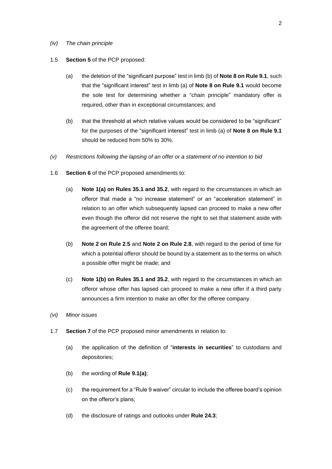#### *(iv) The chain principle*

#### 1.5 **Section 5** of the PCP proposed:

- (a) the deletion of the "significant purpose" test in limb (b) of **Note 8 on Rule 9.1**, such that the "significant interest" test in limb (a) of **Note 8 on Rule 9.1** would become the sole test for determining whether a "chain principle" mandatory offer is required, other than in exceptional circumstances; and
- (b) that the threshold at which relative values would be considered to be "significant" for the purposes of the "significant interest" test in limb (a) of **Note 8 on Rule 9.1** should be reduced from 50% to 30%.
- *(v) Restrictions following the lapsing of an offer or a statement of no intention to bid*
- 1.6 **Section 6** of the PCP proposed amendments to:
	- (a) **Note 1(a) on Rules 35.1 and 35.2**, with regard to the circumstances in which an offeror that made a "no increase statement" or an "acceleration statement" in relation to an offer which subsequently lapsed can proceed to make a new offer even though the offeror did not reserve the right to set that statement aside with the agreement of the offeree board;
	- (b) **Note 2 on Rule 2.5** and **Note 2 on Rule 2.8**, with regard to the period of time for which a potential offeror should be bound by a statement as to the terms on which a possible offer might be made; and
	- (c) **Note 1(b) on Rules 35.1 and 35.2**, with regard to the circumstances in which an offeror whose offer has lapsed can proceed to make a new offer if a third party announces a firm intention to make an offer for the offeree company.
- *(vi) Minor issues*
- 1.7 **Section 7** of the PCP proposed minor amendments in relation to:
	- (a) the application of the definition of "**interests in securities**" to custodians and depositories;
	- (b) the wording of **Rule 9.1(a)**;
	- (c) the requirement for a "Rule 9 waiver" circular to include the offeree board's opinion on the offeror's plans;
	- (d) the disclosure of ratings and outlooks under **Rule 24.3**;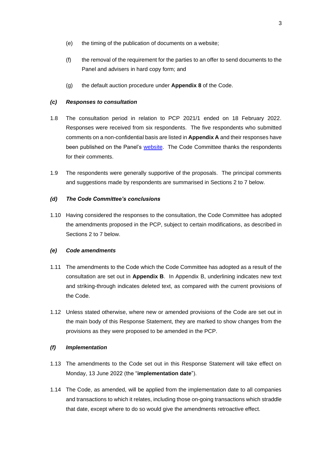- (e) the timing of the publication of documents on a website;
- (f) the removal of the requirement for the parties to an offer to send documents to the Panel and advisers in hard copy form; and
- (g) the default auction procedure under **Appendix 8** of the Code.

## *(c) Responses to consultation*

- 1.8 The consultation period in relation to PCP 2021/1 ended on 18 February 2022. Responses were received from six respondents. The five respondents who submitted comments on a non-confidential basis are listed in **Appendix A** and their responses have been published on the Panel's [website.](https://www.thetakeoverpanel.org.uk/consultation) The Code Committee thanks the respondents for their comments.
- 1.9 The respondents were generally supportive of the proposals. The principal comments and suggestions made by respondents are summarised in Sections 2 to 7 below.

## *(d) The Code Committee's conclusions*

1.10 Having considered the responses to the consultation, the Code Committee has adopted the amendments proposed in the PCP, subject to certain modifications, as described in Sections 2 to 7 below.

#### *(e) Code amendments*

- 1.11 The amendments to the Code which the Code Committee has adopted as a result of the consultation are set out in **Appendix B**. In Appendix B, underlining indicates new text and striking-through indicates deleted text, as compared with the current provisions of the Code.
- 1.12 Unless stated otherwise, where new or amended provisions of the Code are set out in the main body of this Response Statement, they are marked to show changes from the provisions as they were proposed to be amended in the PCP.

## *(f) Implementation*

- 1.13 The amendments to the Code set out in this Response Statement will take effect on Monday, 13 June 2022 (the "**implementation date**").
- 1.14 The Code, as amended, will be applied from the implementation date to all companies and transactions to which it relates, including those on-going transactions which straddle that date, except where to do so would give the amendments retroactive effect.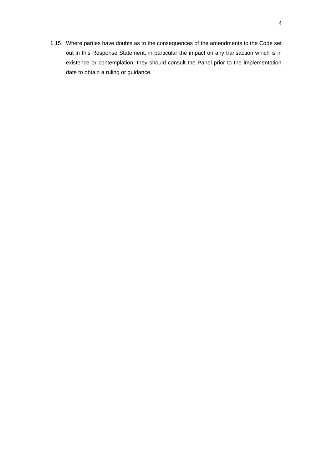1.15 Where parties have doubts as to the consequences of the amendments to the Code set out in this Response Statement, in particular the impact on any transaction which is in existence or contemplation, they should consult the Panel prior to the implementation date to obtain a ruling or guidance.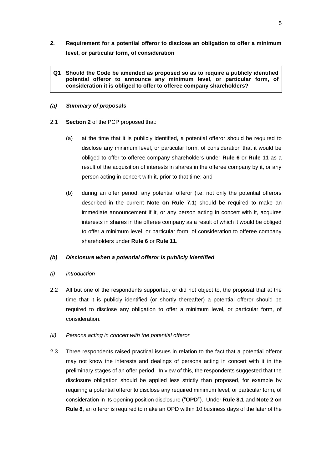- **2. Requirement for a potential offeror to disclose an obligation to offer a minimum level, or particular form, of consideration**
	- **Q1 Should the Code be amended as proposed so as to require a publicly identified potential offeror to announce any minimum level, or particular form, of consideration it is obliged to offer to offeree company shareholders?**

#### *(a) Summary of proposals*

- 2.1 **Section 2** of the PCP proposed that:
	- (a) at the time that it is publicly identified, a potential offeror should be required to disclose any minimum level, or particular form, of consideration that it would be obliged to offer to offeree company shareholders under **Rule 6** or **Rule 11** as a result of the acquisition of interests in shares in the offeree company by it, or any person acting in concert with it, prior to that time; and
	- (b) during an offer period, any potential offeror (i.e. not only the potential offerors described in the current **Note on Rule 7.1**) should be required to make an immediate announcement if it, or any person acting in concert with it, acquires interests in shares in the offeree company as a result of which it would be obliged to offer a minimum level, or particular form, of consideration to offeree company shareholders under **Rule 6** or **Rule 11**.

## *(b) Disclosure when a potential offeror is publicly identified*

#### *(i) Introduction*

- 2.2 All but one of the respondents supported, or did not object to, the proposal that at the time that it is publicly identified (or shortly thereafter) a potential offeror should be required to disclose any obligation to offer a minimum level, or particular form, of consideration.
- *(ii) Persons acting in concert with the potential offeror*
- 2.3 Three respondents raised practical issues in relation to the fact that a potential offeror may not know the interests and dealings of persons acting in concert with it in the preliminary stages of an offer period. In view of this, the respondents suggested that the disclosure obligation should be applied less strictly than proposed, for example by requiring a potential offeror to disclose any required minimum level, or particular form, of consideration in its opening position disclosure ("**OPD**"). Under **Rule 8.1** and **Note 2 on Rule 8**, an offeror is required to make an OPD within 10 business days of the later of the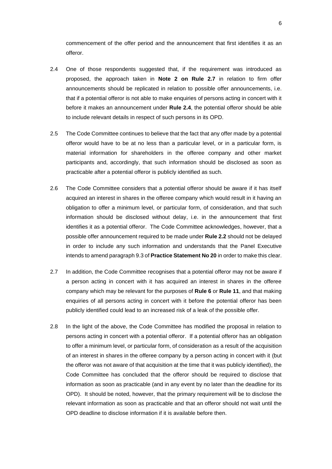commencement of the offer period and the announcement that first identifies it as an offeror.

- 2.4 One of those respondents suggested that, if the requirement was introduced as proposed, the approach taken in **Note 2 on Rule 2.7** in relation to firm offer announcements should be replicated in relation to possible offer announcements, i.e. that if a potential offeror is not able to make enquiries of persons acting in concert with it before it makes an announcement under **Rule 2.4**, the potential offeror should be able to include relevant details in respect of such persons in its OPD.
- 2.5 The Code Committee continues to believe that the fact that any offer made by a potential offeror would have to be at no less than a particular level, or in a particular form, is material information for shareholders in the offeree company and other market participants and, accordingly, that such information should be disclosed as soon as practicable after a potential offeror is publicly identified as such.
- 2.6 The Code Committee considers that a potential offeror should be aware if it has itself acquired an interest in shares in the offeree company which would result in it having an obligation to offer a minimum level, or particular form, of consideration, and that such information should be disclosed without delay, i.e. in the announcement that first identifies it as a potential offeror. The Code Committee acknowledges, however, that a possible offer announcement required to be made under **Rule 2.2** should not be delayed in order to include any such information and understands that the Panel Executive intends to amend paragraph 9.3 of **Practice Statement No 20** in order to make this clear.
- 2.7 In addition, the Code Committee recognises that a potential offeror may not be aware if a person acting in concert with it has acquired an interest in shares in the offeree company which may be relevant for the purposes of **Rule 6** or **Rule 11**, and that making enquiries of all persons acting in concert with it before the potential offeror has been publicly identified could lead to an increased risk of a leak of the possible offer.
- 2.8 In the light of the above, the Code Committee has modified the proposal in relation to persons acting in concert with a potential offeror. If a potential offeror has an obligation to offer a minimum level, or particular form, of consideration as a result of the acquisition of an interest in shares in the offeree company by a person acting in concert with it (but the offeror was not aware of that acquisition at the time that it was publicly identified), the Code Committee has concluded that the offeror should be required to disclose that information as soon as practicable (and in any event by no later than the deadline for its OPD). It should be noted, however, that the primary requirement will be to disclose the relevant information as soon as practicable and that an offeror should not wait until the OPD deadline to disclose information if it is available before then.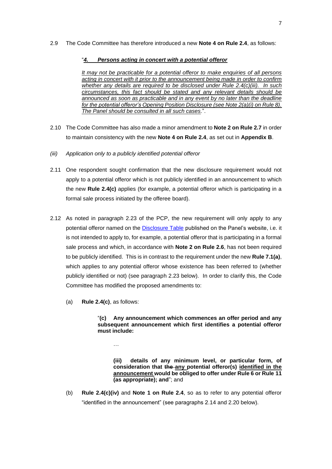## 2.9 The Code Committee has therefore introduced a new **Note 4 on Rule 2.4**, as follows:

## "*4. Persons acting in concert with a potential offeror*

*It may not be practicable for a potential offeror to make enquiries of all persons acting in concert with it prior to the announcement being made in order to confirm whether any details are required to be disclosed under Rule 2.4(c)(iii). In such circumstances, this fact should be stated and any relevant details should be announced as soon as practicable and in any event by no later than the deadline for the potential offeror's Opening Position Disclosure (see Note 2(a)(i) on Rule 8). The Panel should be consulted in all such cases.*".

- 2.10 The Code Committee has also made a minor amendment to **Note 2 on Rule 2.7** in order to maintain consistency with the new **Note 4 on Rule 2.4**, as set out in **Appendix B**.
- *(iii) Application only to a publicly identified potential offeror*
- 2.11 One respondent sought confirmation that the new disclosure requirement would not apply to a potential offeror which is not publicly identified in an announcement to which the new **Rule 2.4(c)** applies (for example, a potential offeror which is participating in a formal sale process initiated by the offeree board).
- 2.12 As noted in paragraph 2.23 of the PCP, the new requirement will only apply to any potential offeror named on the [Disclosure Table](https://www.thetakeoverpanel.org.uk/disclosure/disclosure-table) published on the Panel's website, i.e. it is not intended to apply to, for example, a potential offeror that is participating in a formal sale process and which, in accordance with **Note 2 on Rule 2.6**, has not been required to be publicly identified. This is in contrast to the requirement under the new **Rule 7.1(a)**, which applies to any potential offeror whose existence has been referred to (whether publicly identified or not) (see paragraph 2.23 below). In order to clarify this, the Code Committee has modified the proposed amendments to:
	- (a) **Rule 2.4(c)**, as follows:

…

"**(c) Any announcement which commences an offer period and any subsequent announcement which first identifies a potential offeror must include:**

**(iii) details of any minimum level, or particular form, of consideration that the any potential offeror(s) identified in the announcement would be obliged to offer under Rule 6 or Rule 11 (as appropriate); and**"; and

(b) **Rule 2.4(c)(iv)** and **Note 1 on Rule 2.4**, so as to refer to any potential offeror "identified in the announcement" (see paragraphs 2.14 and 2.20 below).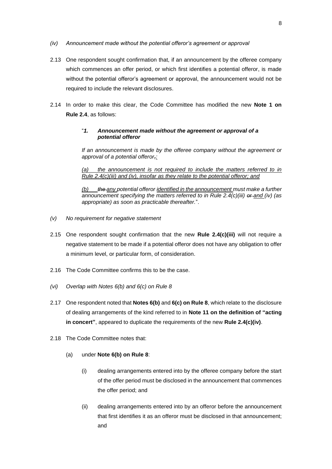- *(iv) Announcement made without the potential offeror's agreement or approval*
- 2.13 One respondent sought confirmation that, if an announcement by the offeree company which commences an offer period, or which first identifies a potential offeror, is made without the potential offeror's agreement or approval, the announcement would not be required to include the relevant disclosures.
- 2.14 In order to make this clear, the Code Committee has modified the new **Note 1 on Rule 2.4**, as follows:

## "*1. Announcement made without the agreement or approval of a potential offeror*

*If an announcement is made by the offeree company without the agreement or approval of a potential offeror,:*

*(a) the announcement is not required to include the matters referred to in Rule 2.4(c)(iii) and (iv), insofar as they relate to the potential offeror; and*

*(b) the any potential offeror identified in the announcement must make a further announcement specifying the matters referred to in Rule 2.4(c)(iii) or and (iv) (as appropriate) as soon as practicable thereafter.*".

- *(v) No requirement for negative statement*
- 2.15 One respondent sought confirmation that the new **Rule 2.4(c)(iii)** will not require a negative statement to be made if a potential offeror does not have any obligation to offer a minimum level, or particular form, of consideration.
- 2.16 The Code Committee confirms this to be the case.
- *(vi) Overlap with Notes 6(b) and 6(c) on Rule 8*
- 2.17 One respondent noted that **Notes 6(b)** and **6(c) on Rule 8**, which relate to the disclosure of dealing arrangements of the kind referred to in **Note 11 on the definition of "acting in concert"**, appeared to duplicate the requirements of the new **Rule 2.4(c)(iv)**.
- 2.18 The Code Committee notes that:
	- (a) under **Note 6(b) on Rule 8**:
		- (i) dealing arrangements entered into by the offeree company before the start of the offer period must be disclosed in the announcement that commences the offer period; and
		- (ii) dealing arrangements entered into by an offeror before the announcement that first identifies it as an offeror must be disclosed in that announcement; and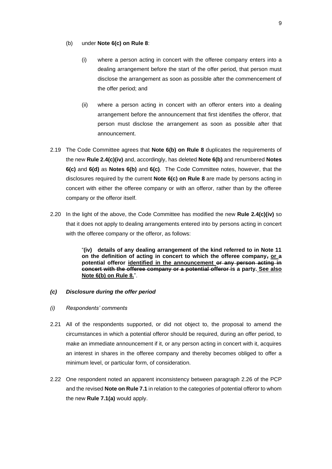#### (b) under **Note 6(c) on Rule 8**:

- (i) where a person acting in concert with the offeree company enters into a dealing arrangement before the start of the offer period, that person must disclose the arrangement as soon as possible after the commencement of the offer period; and
- (ii) where a person acting in concert with an offeror enters into a dealing arrangement before the announcement that first identifies the offeror, that person must disclose the arrangement as soon as possible after that announcement.
- 2.19 The Code Committee agrees that **Note 6(b) on Rule 8** duplicates the requirements of the new **Rule 2.4(c)(iv)** and, accordingly, has deleted **Note 6(b)** and renumbered **Notes 6(c)** and **6(d)** as **Notes 6(b)** and **6(c)**. The Code Committee notes, however, that the disclosures required by the current **Note 6(c) on Rule 8** are made by persons acting in concert with either the offeree company or with an offeror, rather than by the offeree company or the offeror itself.
- 2.20 In the light of the above, the Code Committee has modified the new **Rule 2.4(c)(iv)** so that it does not apply to dealing arrangements entered into by persons acting in concert with the offeree company or the offeror, as follows:

"**(iv) details of any dealing arrangement of the kind referred to in Note 11 on the definition of acting in concert to which the offeree company, or a potential offeror identified in the announcement or any person acting in concert with the offeree company or a potential offeror is a party. See also Note 6(b) on Rule 8.**".

#### *(c) Disclosure during the offer period*

- *(i) Respondents' comments*
- 2.21 All of the respondents supported, or did not object to, the proposal to amend the circumstances in which a potential offeror should be required, during an offer period, to make an immediate announcement if it, or any person acting in concert with it, acquires an interest in shares in the offeree company and thereby becomes obliged to offer a minimum level, or particular form, of consideration.
- 2.22 One respondent noted an apparent inconsistency between paragraph 2.26 of the PCP and the revised **Note on Rule 7.1** in relation to the categories of potential offeror to whom the new **Rule 7.1(a)** would apply.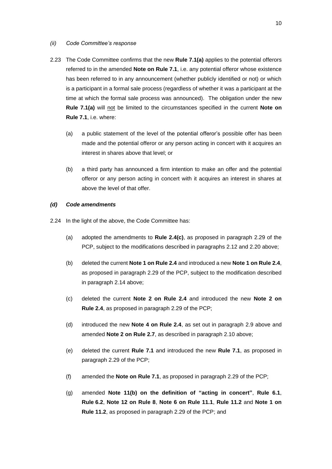#### *(ii) Code Committee's response*

- 2.23 The Code Committee confirms that the new **Rule 7.1(a)** applies to the potential offerors referred to in the amended **Note on Rule 7.1**, i.e. any potential offeror whose existence has been referred to in any announcement (whether publicly identified or not) or which is a participant in a formal sale process (regardless of whether it was a participant at the time at which the formal sale process was announced). The obligation under the new **Rule 7.1(a)** will not be limited to the circumstances specified in the current **Note on Rule 7.1**, i.e. where:
	- (a) a public statement of the level of the potential offeror's possible offer has been made and the potential offeror or any person acting in concert with it acquires an interest in shares above that level; or
	- (b) a third party has announced a firm intention to make an offer and the potential offeror or any person acting in concert with it acquires an interest in shares at above the level of that offer.

#### *(d) Code amendments*

- 2.24 In the light of the above, the Code Committee has:
	- (a) adopted the amendments to **Rule 2.4(c)**, as proposed in paragraph 2.29 of the PCP, subject to the modifications described in paragraphs 2.12 and 2.20 above;
	- (b) deleted the current **Note 1 on Rule 2.4** and introduced a new **Note 1 on Rule 2.4**, as proposed in paragraph 2.29 of the PCP, subject to the modification described in paragraph 2.14 above;
	- (c) deleted the current **Note 2 on Rule 2.4** and introduced the new **Note 2 on Rule 2.4**, as proposed in paragraph 2.29 of the PCP;
	- (d) introduced the new **Note 4 on Rule 2.4**, as set out in paragraph 2.9 above and amended **Note 2 on Rule 2.7**, as described in paragraph 2.10 above;
	- (e) deleted the current **Rule 7.1** and introduced the new **Rule 7.1**, as proposed in paragraph 2.29 of the PCP;
	- (f) amended the **Note on Rule 7.1**, as proposed in paragraph 2.29 of the PCP;
	- (g) amended **Note 11(b) on the definition of "acting in concert"**, **Rule 6.1**, **Rule 6.2**, **Note 12 on Rule 8**, **Note 6 on Rule 11.1**, **Rule 11.2** and **Note 1 on Rule 11.2**, as proposed in paragraph 2.29 of the PCP; and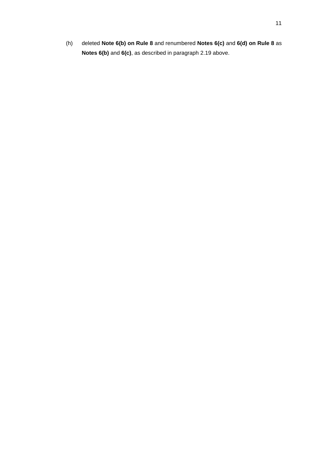(h) deleted **Note 6(b) on Rule 8** and renumbered **Notes 6(c)** and **6(d) on Rule 8** as **Notes 6(b)** and **6(c)**, as described in paragraph 2.19 above.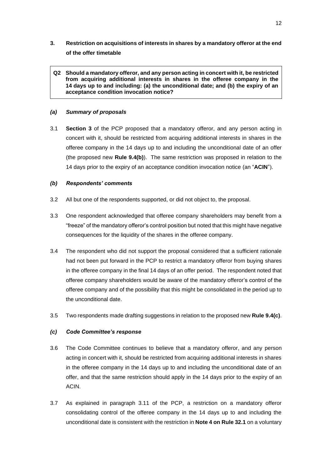## **3. Restriction on acquisitions of interests in shares by a mandatory offeror at the end of the offer timetable**

**Q2 Should a mandatory offeror, and any person acting in concert with it, be restricted from acquiring additional interests in shares in the offeree company in the 14 days up to and including: (a) the unconditional date; and (b) the expiry of an acceptance condition invocation notice?**

## *(a) Summary of proposals*

3.1 **Section 3** of the PCP proposed that a mandatory offeror, and any person acting in concert with it, should be restricted from acquiring additional interests in shares in the offeree company in the 14 days up to and including the unconditional date of an offer (the proposed new **Rule 9.4(b)**). The same restriction was proposed in relation to the 14 days prior to the expiry of an acceptance condition invocation notice (an "**ACIN**").

## *(b) Respondents' comments*

- 3.2 All but one of the respondents supported, or did not object to, the proposal.
- 3.3 One respondent acknowledged that offeree company shareholders may benefit from a "freeze" of the mandatory offeror's control position but noted that this might have negative consequences for the liquidity of the shares in the offeree company.
- 3.4 The respondent who did not support the proposal considered that a sufficient rationale had not been put forward in the PCP to restrict a mandatory offeror from buying shares in the offeree company in the final 14 days of an offer period. The respondent noted that offeree company shareholders would be aware of the mandatory offeror's control of the offeree company and of the possibility that this might be consolidated in the period up to the unconditional date.
- 3.5 Two respondents made drafting suggestions in relation to the proposed new **Rule 9.4(c)**.

#### *(c) Code Committee's response*

- 3.6 The Code Committee continues to believe that a mandatory offeror, and any person acting in concert with it, should be restricted from acquiring additional interests in shares in the offeree company in the 14 days up to and including the unconditional date of an offer, and that the same restriction should apply in the 14 days prior to the expiry of an ACIN.
- 3.7 As explained in paragraph 3.11 of the PCP, a restriction on a mandatory offeror consolidating control of the offeree company in the 14 days up to and including the unconditional date is consistent with the restriction in **Note 4 on Rule 32.1** on a voluntary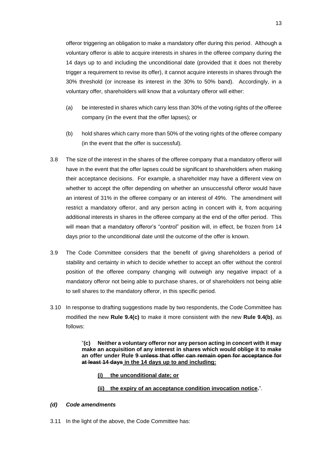offeror triggering an obligation to make a mandatory offer during this period. Although a voluntary offeror is able to acquire interests in shares in the offeree company during the 14 days up to and including the unconditional date (provided that it does not thereby trigger a requirement to revise its offer), it cannot acquire interests in shares through the 30% threshold (or increase its interest in the 30% to 50% band). Accordingly, in a voluntary offer, shareholders will know that a voluntary offeror will either:

- (a) be interested in shares which carry less than 30% of the voting rights of the offeree company (in the event that the offer lapses); or
- (b) hold shares which carry more than 50% of the voting rights of the offeree company (in the event that the offer is successful).
- 3.8 The size of the interest in the shares of the offeree company that a mandatory offeror will have in the event that the offer lapses could be significant to shareholders when making their acceptance decisions. For example, a shareholder may have a different view on whether to accept the offer depending on whether an unsuccessful offeror would have an interest of 31% in the offeree company or an interest of 49%. The amendment will restrict a mandatory offeror, and any person acting in concert with it, from acquiring additional interests in shares in the offeree company at the end of the offer period. This will mean that a mandatory offeror's "control" position will, in effect, be frozen from 14 days prior to the unconditional date until the outcome of the offer is known.
- 3.9 The Code Committee considers that the benefit of giving shareholders a period of stability and certainty in which to decide whether to accept an offer without the control position of the offeree company changing will outweigh any negative impact of a mandatory offeror not being able to purchase shares, or of shareholders not being able to sell shares to the mandatory offeror, in this specific period.
- 3.10 In response to drafting suggestions made by two respondents, the Code Committee has modified the new **Rule 9.4(c)** to make it more consistent with the new **Rule 9.4(b)**, as follows:

"**(c) Neither a voluntary offeror nor any person acting in concert with it may make an acquisition of any interest in shares which would oblige it to make an offer under Rule 9 unless that offer can remain open for acceptance for at least 14 days in the 14 days up to and including:**

- **(i) the unconditional date; or**
- **(ii) the expiry of an acceptance condition invocation notice.**".

## *(d) Code amendments*

3.11 In the light of the above, the Code Committee has: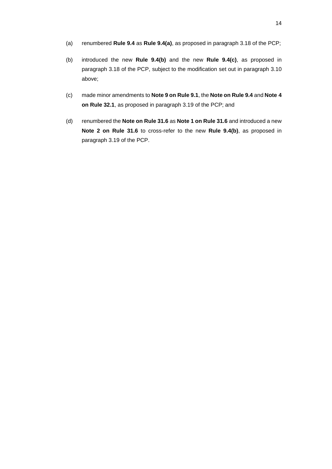- (a) renumbered **Rule 9.4** as **Rule 9.4(a)**, as proposed in paragraph 3.18 of the PCP;
- (b) introduced the new **Rule 9.4(b)** and the new **Rule 9.4(c)**, as proposed in paragraph 3.18 of the PCP, subject to the modification set out in paragraph 3.10 above;
- (c) made minor amendments to **Note 9 on Rule 9.1**, the **Note on Rule 9.4** and **Note 4 on Rule 32.1**, as proposed in paragraph 3.19 of the PCP; and
- (d) renumbered the **Note on Rule 31.6** as **Note 1 on Rule 31.6** and introduced a new **Note 2 on Rule 31.6** to cross-refer to the new **Rule 9.4(b)**, as proposed in paragraph 3.19 of the PCP.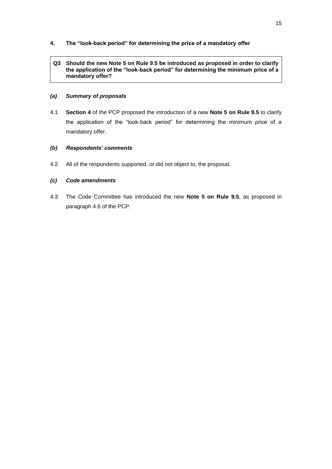- **4. The "look-back period" for determining the price of a mandatory offer**
	- **Q3 Should the new Note 5 on Rule 9.5 be introduced as proposed in order to clarify the application of the "look-back period" for determining the minimum price of a mandatory offer?**

## *(a) Summary of proposals*

4.1 **Section 4** of the PCP proposed the introduction of a new **Note 5 on Rule 9.5** to clarify the application of the "look-back period" for determining the minimum price of a mandatory offer.

## *(b) Respondents' comments*

4.2 All of the respondents supported, or did not object to, the proposal.

## *(c) Code amendments*

4.3 The Code Committee has introduced the new **Note 5 on Rule 9.5**, as proposed in paragraph 4.6 of the PCP.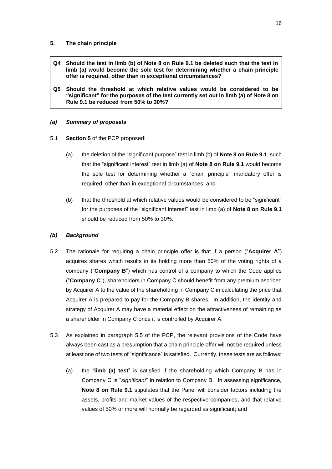#### **5. The chain principle**

- **Q4 Should the test in limb (b) of Note 8 on Rule 9.1 be deleted such that the test in limb (a) would become the sole test for determining whether a chain principle offer is required, other than in exceptional circumstances?**
- **Q5 Should the threshold at which relative values would be considered to be "significant" for the purposes of the test currently set out in limb (a) of Note 8 on Rule 9.1 be reduced from 50% to 30%?**

## *(a) Summary of proposals*

- 5.1 **Section 5** of the PCP proposed:
	- (a) the deletion of the "significant purpose" test in limb (b) of **Note 8 on Rule 9.1**, such that the "significant interest" test in limb (a) of **Note 8 on Rule 9.1** would become the sole test for determining whether a "chain principle" mandatory offer is required, other than in exceptional circumstances; and
	- (b) that the threshold at which relative values would be considered to be "significant" for the purposes of the "significant interest" test in limb (a) of **Note 8 on Rule 9.1** should be reduced from 50% to 30%.

## *(b) Background*

- 5.2 The rationale for requiring a chain principle offer is that if a person ("**Acquirer A**") acquires shares which results in its holding more than 50% of the voting rights of a company ("**Company B**") which has control of a company to which the Code applies ("**Company C**"), shareholders in Company C should benefit from any premium ascribed by Acquirer A to the value of the shareholding in Company C in calculating the price that Acquirer A is prepared to pay for the Company B shares. In addition, the identity and strategy of Acquirer A may have a material effect on the attractiveness of remaining as a shareholder in Company C once it is controlled by Acquirer A.
- 5.3 As explained in paragraph 5.5 of the PCP, the relevant provisions of the Code have always been cast as a presumption that a chain principle offer will not be required unless at least one of two tests of "significance" is satisfied. Currently, these tests are as follows:
	- (a) the "**limb (a) test**" is satisfied if the shareholding which Company B has in Company C is "*significant*" in relation to Company B. In assessing significance, **Note 8 on Rule 9.1** stipulates that the Panel will consider factors including the assets, profits and market values of the respective companies, and that relative values of 50% or more will normally be regarded as significant; and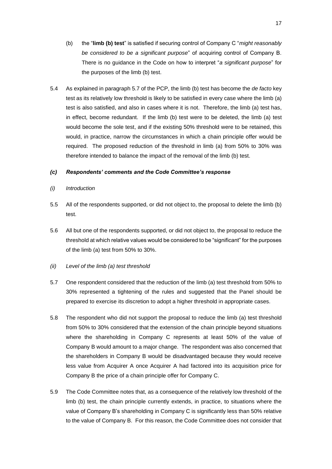- (b) the "**limb (b) test**" is satisfied if securing control of Company C "*might reasonably be considered to be a significant purpose*" of acquiring control of Company B. There is no guidance in the Code on how to interpret "*a significant purpose*" for the purposes of the limb (b) test.
- 5.4 As explained in paragraph 5.7 of the PCP, the limb (b) test has become the *de facto* key test as its relatively low threshold is likely to be satisfied in every case where the limb (a) test is also satisfied, and also in cases where it is not. Therefore, the limb (a) test has, in effect, become redundant. If the limb (b) test were to be deleted, the limb (a) test would become the sole test, and if the existing 50% threshold were to be retained, this would, in practice, narrow the circumstances in which a chain principle offer would be required. The proposed reduction of the threshold in limb (a) from 50% to 30% was therefore intended to balance the impact of the removal of the limb (b) test.

#### *(c) Respondents' comments and the Code Committee's response*

- *(i) Introduction*
- 5.5 All of the respondents supported, or did not object to, the proposal to delete the limb (b) test.
- 5.6 All but one of the respondents supported, or did not object to, the proposal to reduce the threshold at which relative values would be considered to be "significant" for the purposes of the limb (a) test from 50% to 30%.
- *(ii) Level of the limb (a) test threshold*
- 5.7 One respondent considered that the reduction of the limb (a) test threshold from 50% to 30% represented a tightening of the rules and suggested that the Panel should be prepared to exercise its discretion to adopt a higher threshold in appropriate cases.
- 5.8 The respondent who did not support the proposal to reduce the limb (a) test threshold from 50% to 30% considered that the extension of the chain principle beyond situations where the shareholding in Company C represents at least 50% of the value of Company B would amount to a major change. The respondent was also concerned that the shareholders in Company B would be disadvantaged because they would receive less value from Acquirer A once Acquirer A had factored into its acquisition price for Company B the price of a chain principle offer for Company C.
- 5.9 The Code Committee notes that, as a consequence of the relatively low threshold of the limb (b) test, the chain principle currently extends, in practice, to situations where the value of Company B's shareholding in Company C is significantly less than 50% relative to the value of Company B. For this reason, the Code Committee does not consider that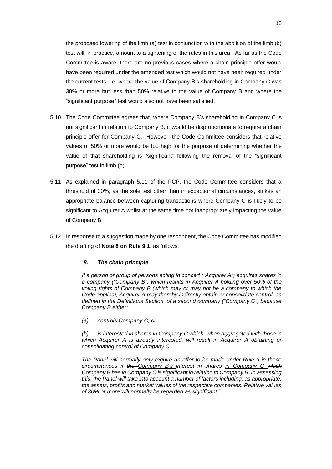the proposed lowering of the limb (a) test in conjunction with the abolition of the limb (b) test will, in practice, amount to a tightening of the rules in this area. As far as the Code Committee is aware, there are no previous cases where a chain principle offer would have been required under the amended test which would not have been required under the current tests, i.e. where the value of Company B's shareholding in Company C was 30% or more but less than 50% relative to the value of Company B and where the "significant purpose" test would also not have been satisfied.

- 5.10 The Code Committee agrees that, where Company B's shareholding in Company C is not significant in relation to Company B, it would be disproportionate to require a chain principle offer for Company C. However, the Code Committee considers that relative values of 50% or more would be too high for the purpose of determining whether the value of that shareholding is "significant" following the removal of the "significant purpose" test in limb (b).
- 5.11 As explained in paragraph 5.11 of the PCP, the Code Committee considers that a threshold of 30%, as the sole test other than in exceptional circumstances, strikes an appropriate balance between capturing transactions where Company C is likely to be significant to Acquirer A whilst at the same time not inappropriately impacting the value of Company B.
- 5.12 In response to a suggestion made by one respondent, the Code Committee has modified the drafting of **Note 8 on Rule 9.1**, as follows:

#### "*8. The chain principle*

*If a person or group of persons acting in concert ("Acquirer A") acquires shares in a company ("Company B") which results in Acquirer A holding over 50% of the voting rights of Company B (which may or may not be a company to which the Code applies), Acquirer A may thereby indirectly obtain or consolidate control, as defined in the Definitions Section, of a second company ("Company C") because Company B either:*

*(a) controls Company C; or*

*(b) is interested in shares in Company C which, when aggregated with those in which Acquirer A is already interested, will result in Acquirer A obtaining or consolidating control of Company C.*

*The Panel will normally only require an offer to be made under Rule 9 in these circumstances if the Company B's interest in shares in Company C which Company B has in Company C is significant in relation to Company B. In assessing this, the Panel will take into account a number of factors including, as appropriate, the assets, profits and market values of the respective companies. Relative values of 30% or more will normally be regarded as significant.*".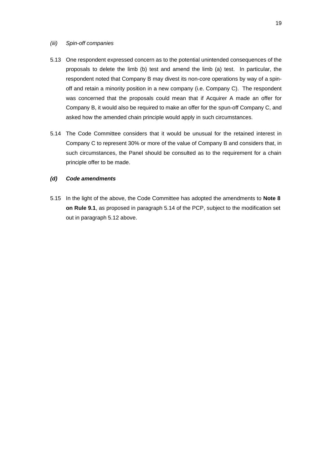## *(iii) Spin-off companies*

- 5.13 One respondent expressed concern as to the potential unintended consequences of the proposals to delete the limb (b) test and amend the limb (a) test. In particular, the respondent noted that Company B may divest its non-core operations by way of a spinoff and retain a minority position in a new company (i.e. Company C). The respondent was concerned that the proposals could mean that if Acquirer A made an offer for Company B, it would also be required to make an offer for the spun-off Company C, and asked how the amended chain principle would apply in such circumstances.
- 5.14 The Code Committee considers that it would be unusual for the retained interest in Company C to represent 30% or more of the value of Company B and considers that, in such circumstances, the Panel should be consulted as to the requirement for a chain principle offer to be made.

#### *(d) Code amendments*

5.15 In the light of the above, the Code Committee has adopted the amendments to **Note 8 on Rule 9.1**, as proposed in paragraph 5.14 of the PCP, subject to the modification set out in paragraph 5.12 above.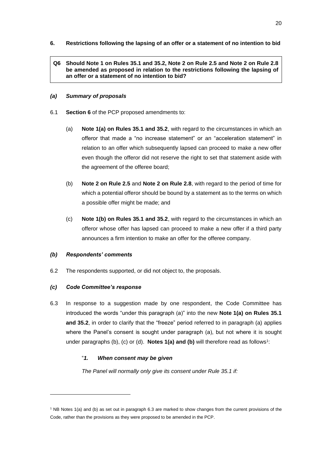**6. Restrictions following the lapsing of an offer or a statement of no intention to bid**

## **Q6 Should Note 1 on Rules 35.1 and 35.2, Note 2 on Rule 2.5 and Note 2 on Rule 2.8 be amended as proposed in relation to the restrictions following the lapsing of an offer or a statement of no intention to bid?**

## *(a) Summary of proposals*

- 6.1 **Section 6** of the PCP proposed amendments to:
	- (a) **Note 1(a) on Rules 35.1 and 35.2**, with regard to the circumstances in which an offeror that made a "no increase statement" or an "acceleration statement" in relation to an offer which subsequently lapsed can proceed to make a new offer even though the offeror did not reserve the right to set that statement aside with the agreement of the offeree board;
	- (b) **Note 2 on Rule 2.5** and **Note 2 on Rule 2.8**, with regard to the period of time for which a potential offeror should be bound by a statement as to the terms on which a possible offer might be made; and
	- (c) **Note 1(b) on Rules 35.1 and 35.2**, with regard to the circumstances in which an offeror whose offer has lapsed can proceed to make a new offer if a third party announces a firm intention to make an offer for the offeree company.

#### *(b) Respondents' comments*

6.2 The respondents supported, or did not object to, the proposals.

#### *(c) Code Committee's response*

6.3 In response to a suggestion made by one respondent, the Code Committee has introduced the words "under this paragraph (a)" into the new **Note 1(a) on Rules 35.1 and 35.2**, in order to clarify that the "freeze" period referred to in paragraph (a) applies where the Panel's consent is sought under paragraph (a), but not where it is sought under paragraphs (b), (c) or (d). **Notes 1(a) and (b)** will therefore read as follows<sup>1</sup>:

## "*1. When consent may be given*

*The Panel will normally only give its consent under Rule 35.1 if:*

<sup>1</sup> NB Notes 1(a) and (b) as set out in paragraph 6.3 are marked to show changes from the current provisions of the Code, rather than the provisions as they were proposed to be amended in the PCP.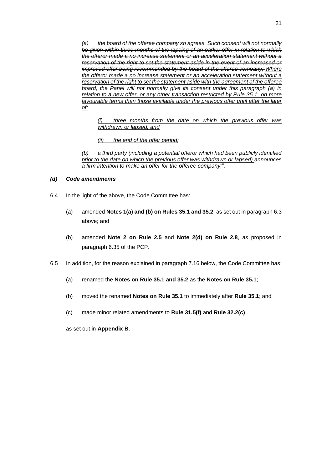*(a) the board of the offeree company so agrees. Such consent will not normally be given within three months of the lapsing of an earlier offer in relation to which the offeror made a no increase statement or an acceleration statement without a reservation of the right to set the statement aside in the event of an increased or improved offer being recommended by the board of the offeree company; Where the offeror made a no increase statement or an acceleration statement without a reservation of the right to set the statement aside with the agreement of the offeree board, the Panel will not normally give its consent under this paragraph (a) in relation to a new offer, or any other transaction restricted by Rule 35.1, on more favourable terms than those available under the previous offer until after the later of:*

*(i) three months from the date on which the previous offer was withdrawn or lapsed; and*

*(ii) the end of the offer period;*

*(b) a third party (including a potential offeror which had been publicly identified prior to the date on which the previous offer was withdrawn or lapsed) announces a firm intention to make an offer for the offeree company;*".

## *(d) Code amendments*

- 6.4 In the light of the above, the Code Committee has:
	- (a) amended **Notes 1(a) and (b) on Rules 35.1 and 35.2**, as set out in paragraph 6.3 above; and
	- (b) amended **Note 2 on Rule 2.5** and **Note 2(d) on Rule 2.8**, as proposed in paragraph 6.35 of the PCP.
- 6.5 In addition, for the reason explained in paragraph 7.16 below, the Code Committee has:
	- (a) renamed the **Notes on Rule 35.1 and 35.2** as the **Notes on Rule 35.1**;
	- (b) moved the renamed **Notes on Rule 35.1** to immediately after **Rule 35.1**; and
	- (c) made minor related amendments to **Rule 31.5(f)** and **Rule 32.2(c)**,

as set out in **Appendix B**.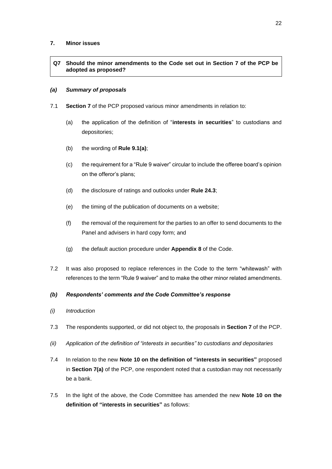## **7. Minor issues**

## **Q7 Should the minor amendments to the Code set out in Section 7 of the PCP be adopted as proposed?**

## *(a) Summary of proposals*

- 7.1 **Section 7** of the PCP proposed various minor amendments in relation to:
	- (a) the application of the definition of "**interests in securities**" to custodians and depositories;
	- (b) the wording of **Rule 9.1(a)**;
	- (c) the requirement for a "Rule 9 waiver" circular to include the offeree board's opinion on the offeror's plans;
	- (d) the disclosure of ratings and outlooks under **Rule 24.3**;
	- (e) the timing of the publication of documents on a website;
	- (f) the removal of the requirement for the parties to an offer to send documents to the Panel and advisers in hard copy form; and
	- (g) the default auction procedure under **Appendix 8** of the Code.
- 7.2 It was also proposed to replace references in the Code to the term "whitewash" with references to the term "Rule 9 waiver" and to make the other minor related amendments.

## *(b) Respondents' comments and the Code Committee's response*

- *(i) Introduction*
- 7.3 The respondents supported, or did not object to, the proposals in **Section 7** of the PCP.
- *(ii) Application of the definition of "interests in securities" to custodians and depositaries*
- 7.4 In relation to the new **Note 10 on the definition of "interests in securities"** proposed in **Section 7(a)** of the PCP, one respondent noted that a custodian may not necessarily be a bank.
- 7.5 In the light of the above, the Code Committee has amended the new **Note 10 on the definition of "interests in securities"** as follows: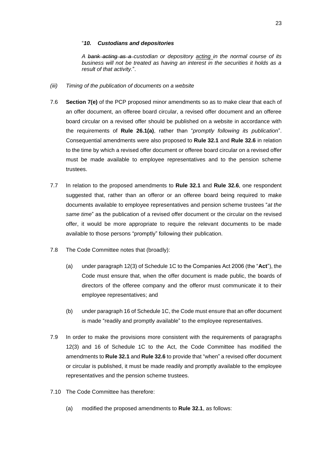#### "*10. Custodians and depositories*

*A bank acting as a custodian or depository acting in the normal course of its business will not be treated as having an interest in the securities it holds as a result of that activity.*".

- *(iii) Timing of the publication of documents on a website*
- 7.6 **Section 7(e)** of the PCP proposed minor amendments so as to make clear that each of an offer document, an offeree board circular, a revised offer document and an offeree board circular on a revised offer should be published on a website in accordance with the requirements of **Rule 26.1(a)**, rather than "*promptly following its publication*". Consequential amendments were also proposed to **Rule 32.1** and **Rule 32.6** in relation to the time by which a revised offer document or offeree board circular on a revised offer must be made available to employee representatives and to the pension scheme trustees.
- 7.7 In relation to the proposed amendments to **Rule 32.1** and **Rule 32.6**, one respondent suggested that, rather than an offeror or an offeree board being required to make documents available to employee representatives and pension scheme trustees "*at the same time*" as the publication of a revised offer document or the circular on the revised offer, it would be more appropriate to require the relevant documents to be made available to those persons "promptly" following their publication.
- 7.8 The Code Committee notes that (broadly):
	- (a) under paragraph 12(3) of Schedule 1C to the Companies Act 2006 (the "**Act**"), the Code must ensure that, when the offer document is made public, the boards of directors of the offeree company and the offeror must communicate it to their employee representatives; and
	- (b) under paragraph 16 of Schedule 1C, the Code must ensure that an offer document is made "readily and promptly available" to the employee representatives.
- 7.9 In order to make the provisions more consistent with the requirements of paragraphs 12(3) and 16 of Schedule 1C to the Act, the Code Committee has modified the amendments to **Rule 32.1** and **Rule 32.6** to provide that "when" a revised offer document or circular is published, it must be made readily and promptly available to the employee representatives and the pension scheme trustees.
- 7.10 The Code Committee has therefore:
	- (a) modified the proposed amendments to **Rule 32.1**, as follows: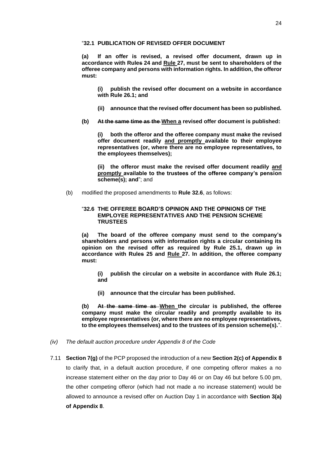#### "**32.1 PUBLICATION OF REVISED OFFER DOCUMENT**

**(a) If an offer is revised, a revised offer document, drawn up in accordance with Rules 24 and Rule 27, must be sent to shareholders of the offeree company and persons with information rights. In addition, the offeror must:**

**(i) publish the revised offer document on a website in accordance with Rule 26.1; and**

- **(ii) announce that the revised offer document has been so published.**
- **(b) At the same time as the When a revised offer document is published:**

**(i) both the offeror and the offeree company must make the revised offer document readily and promptly available to their employee representatives (or, where there are no employee representatives, to the employees themselves);** 

**(ii) the offeror must make the revised offer document readily and promptly available to the trustees of the offeree company's pension scheme(s); and**"; and

(b) modified the proposed amendments to **Rule 32.6**, as follows:

## "**32.6 THE OFFEREE BOARD'S OPINION AND THE OPINIONS OF THE EMPLOYEE REPRESENTATIVES AND THE PENSION SCHEME TRUSTEES**

**(a) The board of the offeree company must send to the company's shareholders and persons with information rights a circular containing its opinion on the revised offer as required by Rule 25.1, drawn up in accordance with Rules 25 and Rule 27. In addition, the offeree company must:**

**(i) publish the circular on a website in accordance with Rule 26.1; and**

**(ii) announce that the circular has been published.**

**(b) At the same time as When the circular is published, the offeree company must make the circular readily and promptly available to its employee representatives (or, where there are no employee representatives, to the employees themselves) and to the trustees of its pension scheme(s).**".

- *(iv) The default auction procedure under Appendix 8 of the Code*
- 7.11 **Section 7(g)** of the PCP proposed the introduction of a new **Section 2(c) of Appendix 8** to clarify that, in a default auction procedure, if one competing offeror makes a no increase statement either on the day prior to Day 46 or on Day 46 but before 5.00 pm, the other competing offeror (which had not made a no increase statement) would be allowed to announce a revised offer on Auction Day 1 in accordance with **Section 3(a) of Appendix 8**.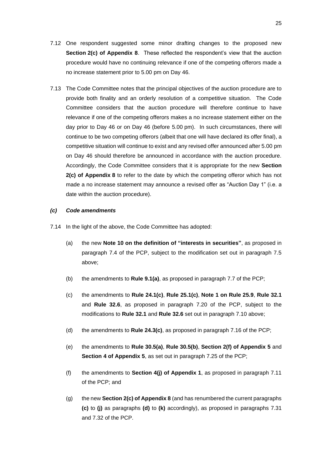- 7.12 One respondent suggested some minor drafting changes to the proposed new **Section 2(c) of Appendix 8**. These reflected the respondent's view that the auction procedure would have no continuing relevance if one of the competing offerors made a no increase statement prior to 5.00 pm on Day 46.
- 7.13 The Code Committee notes that the principal objectives of the auction procedure are to provide both finality and an orderly resolution of a competitive situation. The Code Committee considers that the auction procedure will therefore continue to have relevance if one of the competing offerors makes a no increase statement either on the day prior to Day 46 or on Day 46 (before 5.00 pm). In such circumstances, there will continue to be two competing offerors (albeit that one will have declared its offer final), a competitive situation will continue to exist and any revised offer announced after 5.00 pm on Day 46 should therefore be announced in accordance with the auction procedure. Accordingly, the Code Committee considers that it is appropriate for the new **Section 2(c) of Appendix 8** to refer to the date by which the competing offeror which has not made a no increase statement may announce a revised offer as "Auction Day 1" (i.e. a date within the auction procedure).

#### *(c) Code amendments*

- 7.14 In the light of the above, the Code Committee has adopted:
	- (a) the new **Note 10 on the definition of "interests in securities"**, as proposed in paragraph 7.4 of the PCP, subject to the modification set out in paragraph 7.5 above;
	- (b) the amendments to **Rule 9.1(a)**, as proposed in paragraph 7.7 of the PCP;
	- (c) the amendments to **Rule 24.1(c)**, **Rule 25.1(c)**, **Note 1 on Rule 25.9**, **Rule 32.1** and **Rule 32.6**, as proposed in paragraph 7.20 of the PCP, subject to the modifications to **Rule 32.1** and **Rule 32.6** set out in paragraph 7.10 above;
	- (d) the amendments to **Rule 24.3(c)**, as proposed in paragraph 7.16 of the PCP;
	- (e) the amendments to **Rule 30.5(a)**, **Rule 30.5(b)**, **Section 2(f) of Appendix 5** and **Section 4 of Appendix 5**, as set out in paragraph 7.25 of the PCP;
	- (f) the amendments to **Section 4(j) of Appendix 1**, as proposed in paragraph 7.11 of the PCP; and
	- (g) the new **Section 2(c) of Appendix 8** (and has renumbered the current paragraphs **(c)** to **(j)** as paragraphs **(d)** to **(k)** accordingly), as proposed in paragraphs 7.31 and 7.32 of the PCP.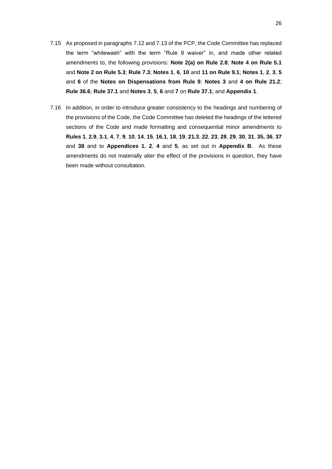- 7.15 As proposed in paragraphs 7.12 and 7.13 of the PCP, the Code Committee has replaced the term "whitewash" with the term "Rule 9 waiver" in, and made other related amendments to, the following provisions: **Note 2(a) on Rule 2.8**; **Note 4 on Rule 5.1** and **Note 2 on Rule 5.3**; **Rule 7.3**; **Notes 1**, **6**, **10** and **11 on Rule 9.1**; **Notes 1**, **2**, **3**, **5** and **6** of the **Notes on Dispensations from Rule 9**; **Notes 3** and **4 on Rule 21.2**; **Rule 36.6**; **Rule 37.1** and **Notes 3**, **5**, **6** and **7** on **Rule 37.1**; and **Appendix 1**.
- 7.16 In addition, in order to introduce greater consistency to the headings and numbering of the provisions of the Code, the Code Committee has deleted the headings of the lettered sections of the Code and made formatting and consequential minor amendments to Rules 1, 2.9, 3.1, 4, 7, 9, 10, 14, 15, 16.1, 18, 19, 21.3, 22, 23, 28, 29, 30, 31, 35, 36, 37 and **38** and to **Appendices 1**, **2**, **4** and **5**, as set out in **Appendix B**. As these amendments do not materially alter the effect of the provisions in question, they have been made without consultation.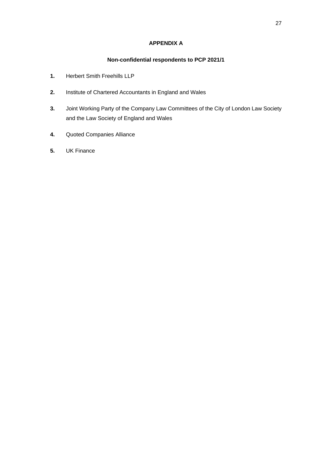## **APPENDIX A**

## **Non-confidential respondents to PCP 2021/1**

- **1.** Herbert Smith Freehills LLP
- **2.** Institute of Chartered Accountants in England and Wales
- **3.** Joint Working Party of the Company Law Committees of the City of London Law Society and the Law Society of England and Wales
- **4.** Quoted Companies Alliance
- **5.** UK Finance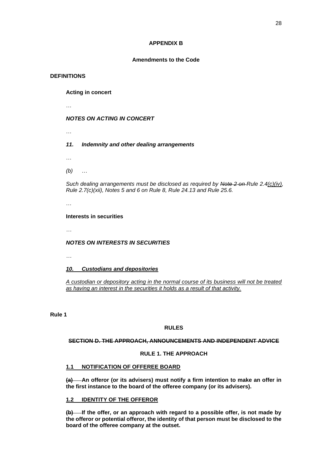#### **APPENDIX B**

#### **Amendments to the Code**

## **DEFINITIONS**

**Acting in concert**

…

## *NOTES ON ACTING IN CONCERT*

…

## *11. Indemnity and other dealing arrangements*

…

*(b)* …

*Such dealing arrangements must be disclosed as required by Note 2 on Rule 2.4(c)(iv), Rule 2.7(c)(xii), Notes 5 and 6 on Rule 8, Rule 24.13 and Rule 25.6.*

…

## **Interests in securities**

*…*

## *NOTES ON INTERESTS IN SECURITIES*

*…*

## *10. Custodians and depositories*

*A custodian or depository acting in the normal course of its business will not be treated as having an interest in the securities it holds as a result of that activity.*

**Rule 1**

## **RULES**

## **SECTION D. THE APPROACH, ANNOUNCEMENTS AND INDEPENDENT ADVICE**

#### **RULE 1. THE APPROACH**

## **1.1 NOTIFICATION OF OFFEREE BOARD**

**(a) An offeror (or its advisers) must notify a firm intention to make an offer in the first instance to the board of the offeree company (or its advisers).**

## **1.2 IDENTITY OF THE OFFEROR**

**(b) If the offer, or an approach with regard to a possible offer, is not made by the offeror or potential offeror, the identity of that person must be disclosed to the board of the offeree company at the outset.**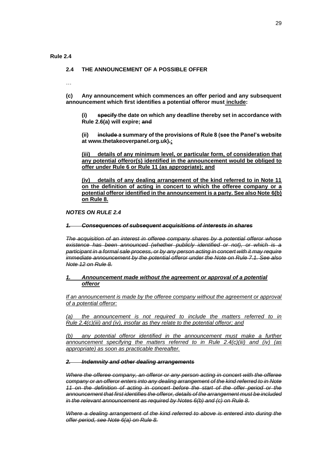#### **Rule 2.4**

#### **2.4 THE ANNOUNCEMENT OF A POSSIBLE OFFER**

…

**(c) Any announcement which commences an offer period and any subsequent announcement which first identifies a potential offeror must include:**

**specify the date on which any deadline thereby set in accordance with Rule 2.6(a) will expire; and**

**(ii) include a summary of the provisions of Rule 8 (see the Panel's website at www.thetakeoverpanel.org.uk).;**

**(iii) details of any minimum level, or particular form, of consideration that any potential offeror(s) identified in the announcement would be obliged to offer under Rule 6 or Rule 11 (as appropriate); and**

**(iv) details of any dealing arrangement of the kind referred to in Note 11 on the definition of acting in concert to which the offeree company or a potential offeror identified in the announcement is a party. See also Note 6(b) on Rule 8.**

*NOTES ON RULE 2.4*

*1. Consequences of subsequent acquisitions of interests in shares*

*The acquisition of an interest in offeree company shares by a potential offeror whose existence has been announced (whether publicly identified or not), or which is a participant in a formal sale process, or by any person acting in concert with it may require immediate announcement by the potential offeror under the Note on Rule 7.1. See also Note 12 on Rule 8.*

## *1. Announcement made without the agreement or approval of a potential offeror*

*If an announcement is made by the offeree company without the agreement or approval of a potential offeror:*

*(a) the announcement is not required to include the matters referred to in Rule 2.4(c)(iii) and (iv), insofar as they relate to the potential offeror; and*

*(b) any potential offeror identified in the announcement must make a further announcement specifying the matters referred to in Rule 2.4(c)(iii) and (iv) (as appropriate) as soon as practicable thereafter.*

#### *2. Indemnity and other dealing arrangements*

*Where the offeree company, an offeror or any person acting in concert with the offeree company or an offeror enters into any dealing arrangement of the kind referred to in Note 11 on the definition of acting in concert before the start of the offer period or the announcement that first identifies the offeror, details of the arrangement must be included in the relevant announcement as required by Notes 6(b) and (c) on Rule 8.*

*Where a dealing arrangement of the kind referred to above is entered into during the offer period, see Note 6(a) on Rule 8.*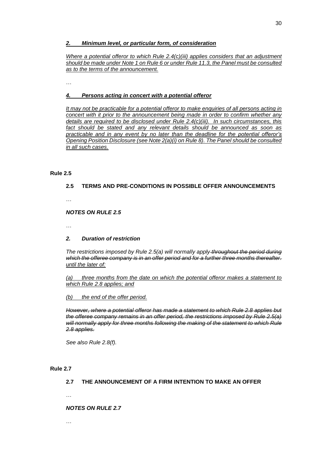#### *2. Minimum level, or particular form, of consideration*

*Where a potential offeror to which Rule 2.4(c)(iii) applies considers that an adjustment should be made under Note 1 on Rule 6 or under Rule 11.3, the Panel must be consulted as to the terms of the announcement.*

…

## *4. Persons acting in concert with a potential offeror*

*It may not be practicable for a potential offeror to make enquiries of all persons acting in concert with it prior to the announcement being made in order to confirm whether any details are required to be disclosed under Rule 2.4(c)(iii). In such circumstances, this fact should be stated and any relevant details should be announced as soon as practicable and in any event by no later than the deadline for the potential offeror's Opening Position Disclosure (see Note 2(a)(i) on Rule 8). The Panel should be consulted in all such cases.*

## **Rule 2.5**

## **2.5 TERMS AND PRE-CONDITIONS IN POSSIBLE OFFER ANNOUNCEMENTS**

…

## *NOTES ON RULE 2.5*

…

## *2. Duration of restriction*

*The restrictions imposed by Rule 2.5(a) will normally apply throughout the period during which the offeree company is in an offer period and for a further three months thereafter. until the later of:*

*(a) three months from the date on which the potential offeror makes a statement to which Rule 2.8 applies; and*

#### *(b) the end of the offer period.*

*However, where a potential offeror has made a statement to which Rule 2.8 applies but the offeree company remains in an offer period, the restrictions imposed by Rule 2.5(a) will normally apply for three months following the making of the statement to which Rule 2.8 applies.*

*See also Rule 2.8(f).*

#### **Rule 2.7**

## **2.7 THE ANNOUNCEMENT OF A FIRM INTENTION TO MAKE AN OFFER**

…

#### *NOTES ON RULE 2.7*

…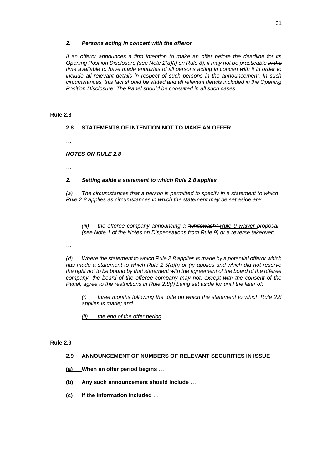#### *2. Persons acting in concert with the offeror*

*If an offeror announces a firm intention to make an offer before the deadline for its Opening Position Disclosure (see Note 2(a)(i) on Rule 8), it may not be practicable in the time available to have made enquiries of all persons acting in concert with it in order to include all relevant details in respect of such persons in the announcement. In such circumstances, this fact should be stated and all relevant details included in the Opening Position Disclosure. The Panel should be consulted in all such cases.*

## **Rule 2.8**

## **2.8 STATEMENTS OF INTENTION NOT TO MAKE AN OFFER**

…

## *NOTES ON RULE 2.8*

…

## *2. Setting aside a statement to which Rule 2.8 applies*

*(a) The circumstances that a person is permitted to specify in a statement to which Rule 2.8 applies as circumstances in which the statement may be set aside are:*

…

*(iii) the offeree company announcing a "whitewash" Rule 9 waiver proposal (see Note 1 of the Notes on Dispensations from Rule 9) or a reverse takeover;*

…

*(d) Where the statement to which Rule 2.8 applies is made by a potential offeror which has made a statement to which Rule 2.5(a)(i) or (ii) applies and which did not reserve the right not to be bound by that statement with the agreement of the board of the offeree company, the board of the offeree company may not, except with the consent of the Panel, agree to the restrictions in Rule 2.8(f) being set aside for until the later of:*

*(i) three months following the date on which the statement to which Rule 2.8 applies is made; and*

*(ii) the end of the offer period.*

#### **Rule 2.9**

## **2.9 ANNOUNCEMENT OF NUMBERS OF RELEVANT SECURITIES IN ISSUE**

- **(a) When an offer period begins** …
- **(b) Any such announcement should include** …
- **(c) If the information included** …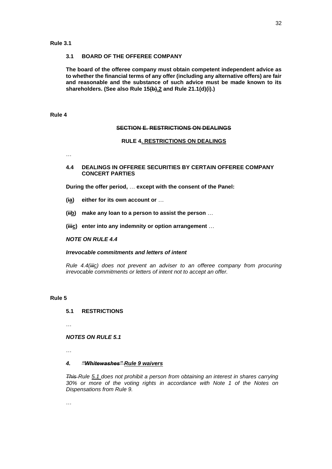#### **3.1 BOARD OF THE OFFEREE COMPANY**

**The board of the offeree company must obtain competent independent advice as to whether the financial terms of any offer (including any alternative offers) are fair and reasonable and the substance of such advice must be made known to its shareholders. (See also Rule 15(b).2 and Rule 21.1(d)(i).)**

#### **Rule 4**

#### **SECTION E. RESTRICTIONS ON DEALINGS**

#### **RULE 4. RESTRICTIONS ON DEALINGS**

…

## **4.4 DEALINGS IN OFFEREE SECURITIES BY CERTAIN OFFEREE COMPANY CONCERT PARTIES**

**During the offer period,** … **except with the consent of the Panel:**

- **(ia) either for its own account or** …
- **(iib) make any loan to a person to assist the person** …
- **(iiic) enter into any indemnity or option arrangement** …

#### *NOTE ON RULE 4.4*

#### *Irrevocable commitments and letters of intent*

*Rule 4.4(iiic) does not prevent an adviser to an offeree company from procuring irrevocable commitments or letters of intent not to accept an offer.*

#### **Rule 5**

#### **5.1 RESTRICTIONS**

…

#### *NOTES ON RULE 5.1*

…

#### *4. "Whitewashes" Rule 9 waivers*

*This Rule 5.1 does not prohibit a person from obtaining an interest in shares carrying 30% or more of the voting rights in accordance with Note 1 of the Notes on Dispensations from Rule 9.*

…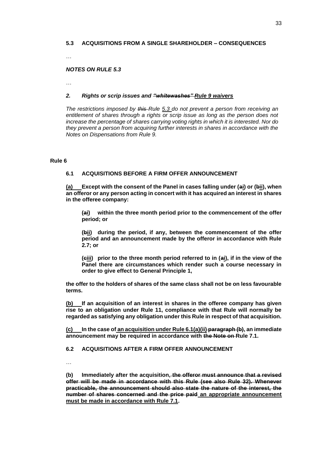## **5.3 ACQUISITIONS FROM A SINGLE SHAREHOLDER – CONSEQUENCES**

…

#### *NOTES ON RULE 5.3*

…

#### *2. Rights or scrip issues and "whitewashes" Rule 9 waivers*

*The restrictions imposed by this Rule 5.3 do not prevent a person from receiving an entitlement of shares through a rights or scrip issue as long as the person does not increase the percentage of shares carrying voting rights in which it is interested. Nor do they prevent a person from acquiring further interests in shares in accordance with the Notes on Dispensations from Rule 9.*

#### **Rule 6**

## **6.1 ACQUISITIONS BEFORE A FIRM OFFER ANNOUNCEMENT**

**(a) Except with the consent of the Panel in cases falling under (ai) or (bii), when an offeror or any person acting in concert with it has acquired an interest in shares in the offeree company:**

**(ai) within the three month period prior to the commencement of the offer period; or**

**(bii) during the period, if any, between the commencement of the offer period and an announcement made by the offeror in accordance with Rule 2.7; or**

**(ciii) prior to the three month period referred to in (ai), if in the view of the Panel there are circumstances which render such a course necessary in order to give effect to General Principle 1,**

**the offer to the holders of shares of the same class shall not be on less favourable terms.**

**(b) If an acquisition of an interest in shares in the offeree company has given rise to an obligation under Rule 11, compliance with that Rule will normally be regarded as satisfying any obligation under this Rule in respect of that acquisition.**

**(c) In the case of an acquisition under Rule 6.1(a)(ii) paragraph (b), an immediate announcement may be required in accordance with the Note on Rule 7.1.**

#### **6.2 ACQUISITIONS AFTER A FIRM OFFER ANNOUNCEMENT**

…

**(b) Immediately after the acquisition, the offeror must announce that a revised offer will be made in accordance with this Rule (see also Rule 32). Whenever practicable, the announcement should also state the nature of the interest, the number of shares concerned and the price paid an appropriate announcement must be made in accordance with Rule 7.1.**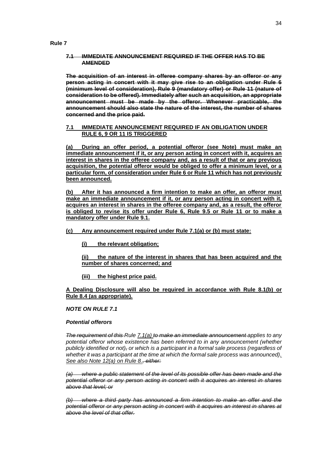## **7.1 IMMEDIATE ANNOUNCEMENT REQUIRED IF THE OFFER HAS TO BE AMENDED**

**The acquisition of an interest in offeree company shares by an offeror or any person acting in concert with it may give rise to an obligation under Rule 6 (minimum level of consideration), Rule 9 (mandatory offer) or Rule 11 (nature of consideration to be offered). Immediately after such an acquisition, an appropriate announcement must be made by the offeror. Whenever practicable, the announcement should also state the nature of the interest, the number of shares concerned and the price paid.**

## **7.1 IMMEDIATE ANNOUNCEMENT REQUIRED IF AN OBLIGATION UNDER RULE 6, 9 OR 11 IS TRIGGERED**

**(a) During an offer period, a potential offeror (see Note) must make an immediate announcement if it, or any person acting in concert with it, acquires an interest in shares in the offeree company and, as a result of that or any previous acquisition, the potential offeror would be obliged to offer a minimum level, or a particular form, of consideration under Rule 6 or Rule 11 which has not previously been announced.**

**(b) After it has announced a firm intention to make an offer, an offeror must make an immediate announcement if it, or any person acting in concert with it, acquires an interest in shares in the offeree company and, as a result, the offeror is obliged to revise its offer under Rule 6, Rule 9.5 or Rule 11 or to make a mandatory offer under Rule 9.1.**

## **(c) Any announcement required under Rule 7.1(a) or (b) must state:**

**(i) the relevant obligation;**

**(ii) the nature of the interest in shares that has been acquired and the number of shares concerned; and**

**(iii) the highest price paid.**

**A Dealing Disclosure will also be required in accordance with Rule 8.1(b) or Rule 8.4 (as appropriate).**

## *NOTE ON RULE 7.1*

#### *Potential offerors*

*The requirement of this Rule 7.1(a) to make an immediate announcement applies to any potential offeror whose existence has been referred to in any announcement (whether publicly identified or not), or which is a participant in a formal sale process (regardless of whether it was a participant at the time at which the formal sale process was announced). See also Note 12(a) on Rule 8., either:*

*(a) where a public statement of the level of its possible offer has been made and the potential offeror or any person acting in concert with it acquires an interest in shares above that level; or*

*(b) where a third party has announced a firm intention to make an offer and the potential offeror or any person acting in concert with it acquires an interest in shares at above the level of that offer.*

**Rule 7**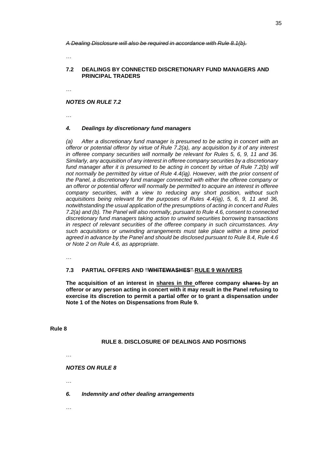*A Dealing Disclosure will also be required in accordance with Rule 8.1(b).*

…

#### **7.2 DEALINGS BY CONNECTED DISCRETIONARY FUND MANAGERS AND PRINCIPAL TRADERS**

…

## *NOTES ON RULE 7.2*

…

## *4. Dealings by discretionary fund managers*

*(a) After a discretionary fund manager is presumed to be acting in concert with an offeror or potential offeror by virtue of Rule 7.2(a), any acquisition by it of any interest in offeree company securities will normally be relevant for Rules 5, 6, 9, 11 and 36. Similarly, any acquisition of any interest in offeree company securities by a discretionary fund manager after it is presumed to be acting in concert by virtue of Rule 7.2(b) will not normally be permitted by virtue of Rule 4.4(ia). However, with the prior consent of the Panel, a discretionary fund manager connected with either the offeree company or an offeror or potential offeror will normally be permitted to acquire an interest in offeree company securities, with a view to reducing any short position, without such acquisitions being relevant for the purposes of Rules 4.4(ia), 5, 6, 9, 11 and 36, notwithstanding the usual application of the presumptions of acting in concert and Rules 7.2(a) and (b). The Panel will also normally, pursuant to Rule 4.6, consent to connected discretionary fund managers taking action to unwind securities borrowing transactions in respect of relevant securities of the offeree company in such circumstances. Any such acquisitions or unwinding arrangements must take place within a time period agreed in advance by the Panel and should be disclosed pursuant to Rule 8.4, Rule 4.6 or Note 2 on Rule 4.6, as appropriate.*

…

#### **7.3 PARTIAL OFFERS AND "WHITEWASHES" RULE 9 WAIVERS**

**The acquisition of an interest in shares in the offeree company shares by an offeror or any person acting in concert with it may result in the Panel refusing to exercise its discretion to permit a partial offer or to grant a dispensation under Note 1 of the Notes on Dispensations from Rule 9.**

**Rule 8**

#### **RULE 8. DISCLOSURE OF DEALINGS AND POSITIONS**

…

*NOTES ON RULE 8*

…

*6. Indemnity and other dealing arrangements*

…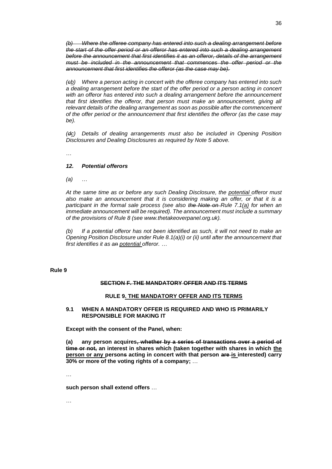*(b) Where the offeree company has entered into such a dealing arrangement before the start of the offer period or an offeror has entered into such a dealing arrangement before the announcement that first identifies it as an offeror, details of the arrangement must be included in the announcement that commences the offer period or the announcement that first identifies the offeror (as the case may be).*

*(cb) Where a person acting in concert with the offeree company has entered into such a dealing arrangement before the start of the offer period or a person acting in concert with an offeror has entered into such a dealing arrangement before the announcement*  that first identifies the offeror, that person must make an announcement, giving all *relevant details of the dealing arrangement as soon as possible after the commencement of the offer period or the announcement that first identifies the offeror (as the case may be).*

*(dc) Details of dealing arrangements must also be included in Opening Position Disclosures and Dealing Disclosures as required by Note 5 above.*

…

#### *12. Potential offerors*

*(a)* …

*At the same time as or before any such Dealing Disclosure, the potential offeror must also make an announcement that it is considering making an offer, or that it is a participant in the formal sale process (see also the Note on Rule 7.1(a) for when an immediate announcement will be required). The announcement must include a summary of the provisions of Rule 8 (see www.thetakeoverpanel.org.uk).*

*(b) If a potential offeror has not been identified as such, it will not need to make an Opening Position Disclosure under Rule 8.1(a)(i) or (ii) until after the announcement that first identifies it as an potential offeror. …*

#### **Rule 9**

#### **SECTION F. THE MANDATORY OFFER AND ITS TERMS**

#### **RULE 9. THE MANDATORY OFFER AND ITS TERMS**

#### **9.1 WHEN A MANDATORY OFFER IS REQUIRED AND WHO IS PRIMARILY RESPONSIBLE FOR MAKING IT**

**Except with the consent of the Panel, when:**

**(a) any person acquires, whether by a series of transactions over a period of time or not, an interest in shares which (taken together with shares in which the person or any persons acting in concert with that person are is interested) carry 30% or more of the voting rights of a company;** …

…

**such person shall extend offers** …

…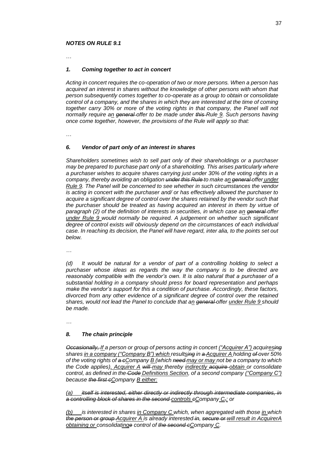#### *NOTES ON RULE 9.1*

…

#### *1. Coming together to act in concert*

*Acting in concert requires the co-operation of two or more persons. When a person has acquired an interest in shares without the knowledge of other persons with whom that person subsequently comes together to co-operate as a group to obtain or consolidate control of a company, and the shares in which they are interested at the time of coming together carry 30% or more of the voting rights in that company, the Panel will not normally require an general offer to be made under this Rule 9. Such persons having once come together, however, the provisions of the Rule will apply so that:*

…

#### *6. Vendor of part only of an interest in shares*

*Shareholders sometimes wish to sell part only of their shareholdings or a purchaser may be prepared to purchase part only of a shareholding. This arises particularly where a purchaser wishes to acquire shares carrying just under 30% of the voting rights in a company, thereby avoiding an obligation under this Rule to make an general offer under Rule 9. The Panel will be concerned to see whether in such circumstances the vendor is acting in concert with the purchaser and/ or has effectively allowed the purchaser to acquire a significant degree of control over the shares retained by the vendor such that the purchaser should be treated as having acquired an interest in them by virtue of paragraph (2) of the definition of interests in securities, in which case an general offer under Rule 9 would normally be required. A judgement on whether such significant degree of control exists will obviously depend on the circumstances of each individual case. In reaching its decision, the Panel will have regard, inter alia, to the points set out below.*

*…*

*(d) It would be natural for a vendor of part of a controlling holding to select a purchaser whose ideas as regards the way the company is to be directed are reasonably compatible with the vendor's own. It is also natural that a purchaser of a substantial holding in a company should press for board representation and perhaps make the vendor's support for this a condition of purchase. Accordingly, these factors, divorced from any other evidence of a significant degree of control over the retained shares, would not lead the Panel to conclude that an general offer under Rule 9 should be made.*

*…*

#### *8. The chain principle*

*Occasionally, If a person or group of persons acting in concert ("Acquirer A") acquiresing shares in a company ("Company B") which resultsing in a Acquirer A holding of over 50% of the voting rights of a cCompany B (which need may or may not be a company to which the Code applies), Acquirer A will may thereby indirectly acquire obtain or consolidate control, as defined in the Code Definitions Section, of a second company ("Company C") because the first cCompany B either:*

*(a) itself is interested, either directly or indirectly through intermediate companies, in a controlling block of shares in the second controls cCompany C,; or*

*(b) is interested in shares in Company C which, when aggregated with those in which the person or group Acquirer A is already interested in, secure or will result in AcquirerA obtaining or consolidatinge control of the second cCompany C.*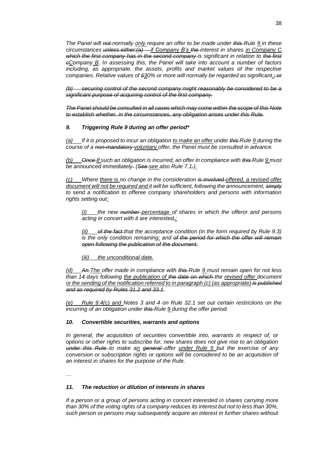*The Panel will not normally only require an offer to be made under this Rule 9 in these circumstances unless either:(a) if Company B's the interest in shares in Company C which the first company has in the second company is significant in relation to the first cCompany B. In assessing this, the Panel will take into account a number of factors including, as appropriate, the assets, profits and market values of the respective companies. Relative values of 530% or more will normally be regarded as significant.* $\div$ or

*(b) securing control of the second company might reasonably be considered to be a significant purpose of acquiring control of the first company.*

*The Panel should be consulted in all cases which may come within the scope of this Note to establish whether, in the circumstances, any obligation arises under this Rule.*

## *9. Triggering Rule 9 during an offer period\**

*(a) If it is proposed to incur an obligation to make an offer under this Rule 9 during the course of a non-mandatory voluntary offer, the Panel must be consulted in advance.*

*(b) Once If such an obligation is incurred, an offer in compliance with this Rule 9 must be announced immediately. (See see also Rule 7.1.).*

*(c) Where there is no change in the consideration is involved offered, a revised offer document will not be required and it will be sufficient, following the announcement, simply to send a notification to offeree company shareholders and persons with information rights setting out:*

*(i) the new number percentage of shares in which the offeror and persons acting in concert with it are interested,;*

*(ii) of the fact that the acceptance condition (in the form required by Rule 9.3) is the only condition remaining; and of the period for which the offer will remain open following the publication of the document.*

*(iii) the unconditional date.*

*(d) An The offer made in compliance with this Rule 9 must remain open for not less than 14 days following the publication of the date on which the revised offer document or the sending of the notification referred to in paragraph (c) (as appropriate) is published and as required by Rules 31.2 and 33.1.*

*(e) Rule 9.4(c) and Notes 3 and 4 on Rule 32.1 set out certain restrictions on the incurring of an obligation under this Rule 9 during the offer period.*

#### *10. Convertible securities, warrants and options*

*In general, the acquisition of securities convertible into, warrants in respect of, or options or other rights to subscribe for, new shares does not give rise to an obligation under this Rule to make an general offer under Rule 9 but the exercise of any conversion or subscription rights or options will be considered to be an acquisition of an interest in shares for the purpose of the Rule.*

…

#### *11. The reduction or dilution of interests in shares*

*If a person or a group of persons acting in concert interested in shares carrying more than 30% of the voting rights of a company reduces its interest but not to less than 30%, such person or persons may subsequently acquire an interest in further shares without*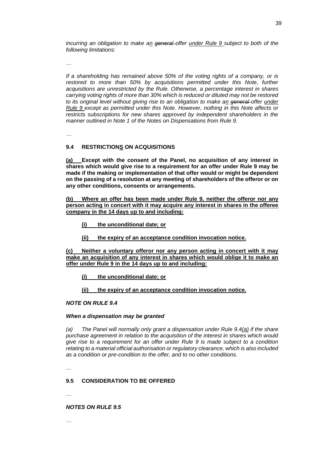*incurring an obligation to make an general offer under Rule 9 subject to both of the following limitations:*

…

*If a shareholding has remained above 50% of the voting rights of a company, or is*  restored to more than 50% by acquisitions permitted under this Note, further *acquisitions are unrestricted by the Rule. Otherwise, a percentage interest in shares carrying voting rights of more than 30% which is reduced or diluted may not be restored to its original level without giving rise to an obligation to make an general offer under Rule 9 except as permitted under this Note. However, nothing in this Note affects or restricts subscriptions for new shares approved by independent shareholders in the manner outlined in Note 1 of the Notes on Dispensations from Rule 9.*

*…*

## **9.4 RESTRICTIONS ON ACQUISITIONS**

**(a) Except with the consent of the Panel, no acquisition of any interest in shares which would give rise to a requirement for an offer under Rule 9 may be made if the making or implementation of that offer would or might be dependent on the passing of a resolution at any meeting of shareholders of the offeror or on any other conditions, consents or arrangements.**

**(b) Where an offer has been made under Rule 9, neither the offeror nor any person acting in concert with it may acquire any interest in shares in the offeree company in the 14 days up to and including:**

**(i) the unconditional date; or**

**(ii) the expiry of an acceptance condition invocation notice.**

**(c) Neither a voluntary offeror nor any person acting in concert with it may make an acquisition of any interest in shares which would oblige it to make an offer under Rule 9 in the 14 days up to and including:**

**(i) the unconditional date; or**

**(ii) the expiry of an acceptance condition invocation notice.**

#### *NOTE ON RULE 9.4*

#### *When a dispensation may be granted*

*(a) The Panel will normally only grant a dispensation under Rule 9.4(a) if the share purchase agreement in relation to the acquisition of the interest in shares which would give rise to a requirement for an offer under Rule 9 is made subject to a condition relating to a material official authorisation or regulatory clearance, which is also included as a condition or pre-condition to the offer, and to no other conditions.*

…

#### **9.5 CONSIDERATION TO BE OFFERED**

…

#### *NOTES ON RULE 9.5*

…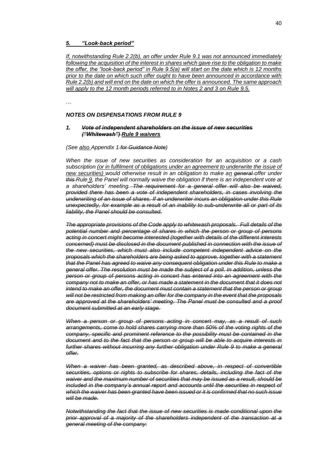#### *5. "Look-back period"*

*If, notwithstanding Rule 2.2(b), an offer under Rule 9.1 was not announced immediately following the acquisition of the interest in shares which gave rise to the obligation to make the offer, the "look-back period" in Rule 9.5(a) will start on the date which is 12 months prior to the date on which such offer ought to have been announced in accordance with Rule 2.2(b) and will end on the date on which the offer is announced. The same approach will apply to the 12 month periods referred to in Notes 2 and 3 on Rule 9.5.*

…

## *NOTES ON DISPENSATIONS FROM RULE 9*

#### *1. Vote of independent shareholders on the issue of new securities ("Whitewash") Rule 9 waivers*

#### *(See also Appendix 1 for Guidance Note)*

*When the issue of new securities as consideration for an acquisition or a cash*  subscription (or in fulfilment of obligations under an agreement to underwrite the issue of *new securities) would otherwise result in an obligation to make an general offer under this Rule 9, the Panel will normally waive the obligation if there is an independent vote at a shareholders' meeting. The requirement for a general offer will also be waived, provided there has been a vote of independent shareholders, in cases involving the underwriting of an issue of shares. If an underwriter incurs an obligation under this Rule unexpectedly, for example as a result of an inability to sub-underwrite all or part of its liability, the Panel should be consulted.*

*The appropriate provisions of the Code apply to whitewash proposals. Full details of the potential number and percentage of shares in which the person or group of persons acting in concert might become interested (together with details of the different interests concerned) must be disclosed in the document published in connection with the issue of the new securities, which must also include competent independent advice on the proposals which the shareholders are being asked to approve, together with a statement that the Panel has agreed to waive any consequent obligation under this Rule to make a general offer. The resolution must be made the subject of a poll. In addition, unless the person or group of persons acting in concert has entered into an agreement with the company not to make an offer, or has made a statement in the document that it does not intend to make an offer, the document must contain a statement that the person or group will not be restricted from making an offer for the company in the event that the proposals are approved at the shareholders' meeting. The Panel must be consulted and a proof document submitted at an early stage.*

*When a person or group of persons acting in concert may, as a result of such arrangements, come to hold shares carrying more than 50% of the voting rights of the company, specific and prominent reference to the possibility must be contained in the document and to the fact that the person or group will be able to acquire interests in further shares without incurring any further obligation under Rule 9 to make a general offer.*

When a waiver has been granted, as described above, in respect of convertible *securities, options or rights to subscribe for shares, details, including the fact of the waiver and the maximum number of securities that may be issued as a result, should be included in the company's annual report and accounts until the securities in respect of which the waiver has been granted have been issued or it is confirmed that no such issue will be made.*

*Notwithstanding the fact that the issue of new securities is made conditional upon the prior approval of a majority of the shareholders independent of the transaction at a general meeting of the company:*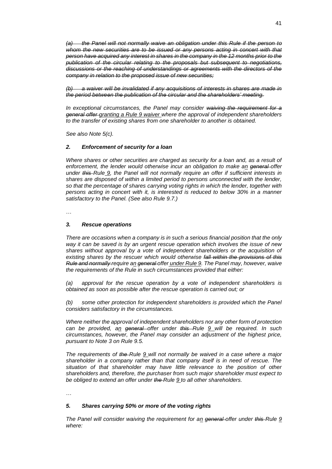*(a) the Panel will not normally waive an obligation under this Rule if the person to whom the new securities are to be issued or any persons acting in concert with that person have acquired any interest in shares in the company in the 12 months prior to the publication of the circular relating to the proposals but subsequent to negotiations, discussions or the reaching of understandings or agreements with the directors of the company in relation to the proposed issue of new securities;*

*(b) a waiver will be invalidated if any acquisitions of interests in shares are made in the period between the publication of the circular and the shareholders' meeting.*

*In exceptional circumstances, the Panel may consider waiving the requirement for a general offer granting a Rule 9 waiver where the approval of independent shareholders to the transfer of existing shares from one shareholder to another is obtained.*

*See also Note 5(c).*

#### *2. Enforcement of security for a loan*

*Where shares or other securities are charged as security for a loan and, as a result of enforcement, the lender would otherwise incur an obligation to make an general offer under this Rule 9, the Panel will not normally require an offer if sufficient interests in shares are disposed of within a limited period to persons unconnected with the lender, so that the percentage of shares carrying voting rights in which the lender, together with persons acting in concert with it, is interested is reduced to below 30% in a manner satisfactory to the Panel. (See also Rule 9.7.)*

…

#### *3. Rescue operations*

*There are occasions when a company is in such a serious financial position that the only way it can be saved is by an urgent rescue operation which involves the issue of new shares without approval by a vote of independent shareholders or the acquisition of existing shares by the rescuer which would otherwise fall within the provisions of this Rule and normally require an general offer under Rule 9. The Panel may, however, waive the requirements of the Rule in such circumstances provided that either:*

*(a) approval for the rescue operation by a vote of independent shareholders is obtained as soon as possible after the rescue operation is carried out; or*

*(b) some other protection for independent shareholders is provided which the Panel considers satisfactory in the circumstances.*

*Where neither the approval of independent shareholders nor any other form of protection can be provided, an general offer under this Rule 9 will be required. In such circumstances, however, the Panel may consider an adjustment of the highest price, pursuant to Note 3 on Rule 9.5.*

*The requirements of the Rule 9 will not normally be waived in a case where a major shareholder in a company rather than that company itself is in need of rescue. The situation of that shareholder may have little relevance to the position of other shareholders and, therefore, the purchaser from such major shareholder must expect to be obliged to extend an offer under the Rule 9 to all other shareholders.*

…

#### *5. Shares carrying 50% or more of the voting rights*

*The Panel will consider waiving the requirement for an general offer under this Rule 9 where:*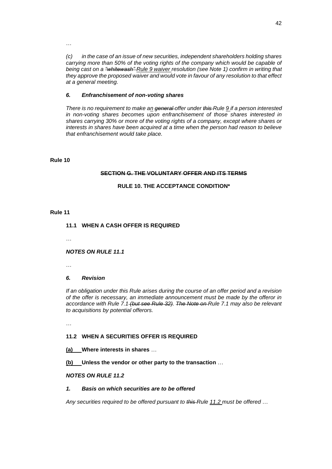…

*(c) in the case of an issue of new securities, independent shareholders holding shares carrying more than 50% of the voting rights of the company which would be capable of being cast on a "whitewash" Rule 9 waiver resolution (see Note 1) confirm in writing that they approve the proposed waiver and would vote in favour of any resolution to that effect at a general meeting.*

## *6. Enfranchisement of non-voting shares*

*There is no requirement to make an general offer under this Rule 9 if a person interested in non-voting shares becomes upon enfranchisement of those shares interested in shares carrying 30% or more of the voting rights of a company, except where shares or interests in shares have been acquired at a time when the person had reason to believe that enfranchisement would take place.*

#### **Rule 10**

#### **SECTION G. THE VOLUNTARY OFFER AND ITS TERMS**

## **RULE 10. THE ACCEPTANCE CONDITION\***

#### **Rule 11**

## **11.1 WHEN A CASH OFFER IS REQUIRED**

…

#### *NOTES ON RULE 11.1*

…

#### *6. Revision*

*If an obligation under this Rule arises during the course of an offer period and a revision of the offer is necessary, an immediate announcement must be made by the offeror in accordance with Rule 7.1 (but see Rule 32). The Note on Rule 7.1 may also be relevant to acquisitions by potential offerors.*

…

## **11.2 WHEN A SECURITIES OFFER IS REQUIRED**

**(a) Where interests in shares** …

**(b) Unless the vendor or other party to the transaction** …

## *NOTES ON RULE 11.2*

#### *1. Basis on which securities are to be offered*

*Any securities required to be offered pursuant to this Rule 11.2 must be offered* …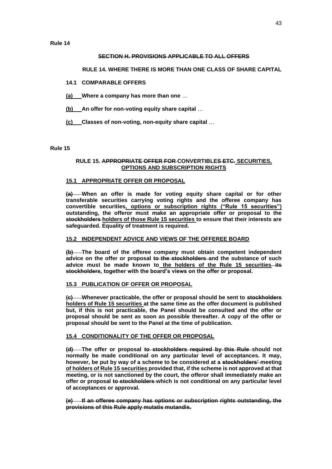**Rule 14**

## **SECTION H. PROVISIONS APPLICABLE TO ALL OFFERS**

## **RULE 14. WHERE THERE IS MORE THAN ONE CLASS OF SHARE CAPITAL**

## **14.1 COMPARABLE OFFERS**

**(a) Where a company has more than one** …

**(b) An offer for non-voting equity share capital** …

**(c) Classes of non-voting, non-equity share capital** …

**Rule 15**

#### **RULE 15. APPROPRIATE OFFER FOR CONVERTIBLES ETC. SECURITIES, OPTIONS AND SUBSCRIPTION RIGHTS**

## **15.1 APPROPRIATE OFFER OR PROPOSAL**

**(a) When an offer is made for voting equity share capital or for other transferable securities carrying voting rights and the offeree company has convertible securities, options or subscription rights ("Rule 15 securities") outstanding, the offeror must make an appropriate offer or proposal to the stockholders holders of those Rule 15 securities to ensure that their interests are safeguarded. Equality of treatment is required.**

#### **15.2 INDEPENDENT ADVICE AND VIEWS OF THE OFFEREE BOARD**

**(b) The board of the offeree company must obtain competent independent advice on the offer or proposal to the stockholders and the substance of such advice must be made known to the holders of the Rule 15 securities its stockholders, together with the board's views on the offer or proposal.**

#### **15.3 PUBLICATION OF OFFER OR PROPOSAL**

**(c) Whenever practicable, the offer or proposal should be sent to stockholders holders of Rule 15 securities at the same time as the offer document is published but, if this is not practicable, the Panel should be consulted and the offer or proposal should be sent as soon as possible thereafter. A copy of the offer or proposal should be sent to the Panel at the time of publication.**

#### **15.4 CONDITIONALITY OF THE OFFER OR PROPOSAL**

**(d) The offer or proposal to stockholders required by this Rule should not normally be made conditional on any particular level of acceptances. It may, however, be put by way of a scheme to be considered at a stockholders' meeting of holders of Rule 15 securities provided that, if the scheme is not approved at that meeting, or is not sanctioned by the court, the offeror shall immediately make an offer or proposal to stockholders which is not conditional on any particular level of acceptances or approval.**

**(e) If an offeree company has options or subscription rights outstanding, the provisions of this Rule apply mutatis mutandis.**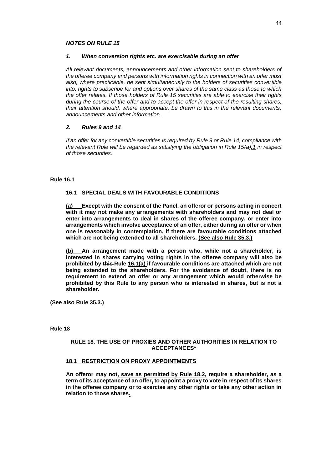#### *NOTES ON RULE 15*

#### *1. When conversion rights etc. are exercisable during an offer*

*All relevant documents, announcements and other information sent to shareholders of the offeree company and persons with information rights in connection with an offer must also, where practicable, be sent simultaneously to the holders of securities convertible into, rights to subscribe for and options over shares of the same class as those to which the offer relates. If those holders of Rule 15 securities are able to exercise their rights during the course of the offer and to accept the offer in respect of the resulting shares, their attention should, where appropriate, be drawn to this in the relevant documents, announcements and other information.*

#### *2. Rules 9 and 14*

*If an offer for any convertible securities is required by Rule 9 or Rule 14, compliance with the relevant Rule will be regarded as satisfying the obligation in Rule 15(a).1 in respect of those securities.*

#### **Rule 16.1**

## **16.1 SPECIAL DEALS WITH FAVOURABLE CONDITIONS**

**(a) Except with the consent of the Panel, an offeror or persons acting in concert with it may not make any arrangements with shareholders and may not deal or enter into arrangements to deal in shares of the offeree company, or enter into arrangements which involve acceptance of an offer, either during an offer or when one is reasonably in contemplation, if there are favourable conditions attached which are not being extended to all shareholders. (See also Rule 35.3.)**

**(b) An arrangement made with a person who, while not a shareholder, is interested in shares carrying voting rights in the offeree company will also be prohibited by this Rule 16.1(a) if favourable conditions are attached which are not being extended to the shareholders. For the avoidance of doubt, there is no requirement to extend an offer or any arrangement which would otherwise be prohibited by this Rule to any person who is interested in shares, but is not a shareholder.**

**(See also Rule 35.3.)**

**Rule 18**

#### **RULE 18. THE USE OF PROXIES AND OTHER AUTHORITIES IN RELATION TO ACCEPTANCES\***

#### **18.1 RESTRICTION ON PROXY APPOINTMENTS**

**An offeror may not, save as permitted by Rule 18.2, require a shareholder, as a term of its acceptance of an offer, to appoint a proxy to vote in respect of its shares in the offeree company or to exercise any other rights or take any other action in relation to those shares.**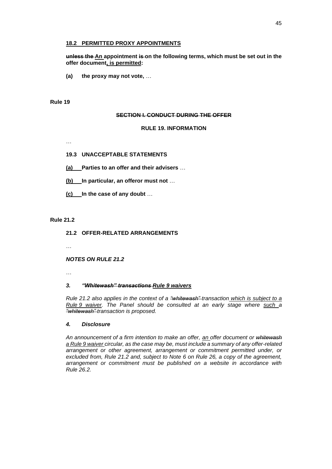#### **18.2 PERMITTED PROXY APPOINTMENTS**

**unless the An appointment is on the following terms, which must be set out in the offer document, is permitted:**

**(a) the proxy may not vote,** …

## **Rule 19**

#### **SECTION I. CONDUCT DURING THE OFFER**

#### **RULE 19. INFORMATION**

…

#### **19.3 UNACCEPTABLE STATEMENTS**

**(a) Parties to an offer and their advisers** …

**(b) In particular, an offeror must not** …

**(c) In the case of any doubt** …

#### **Rule 21.2**

#### **21.2 OFFER-RELATED ARRANGEMENTS**

…

#### *NOTES ON RULE 21.2*

…

#### *3. "Whitewash" transactions Rule 9 waivers*

*Rule 21.2 also applies in the context of a "whitewash" transaction which is subject to a Rule 9 waiver. The Panel should be consulted at an early stage where such a "whitewash" transaction is proposed.*

#### *4. Disclosure*

*An announcement of a firm intention to make an offer, an offer document or whitewash a Rule 9 waiver circular, as the case may be, must include a summary of any offer-related arrangement or other agreement, arrangement or commitment permitted under, or excluded from, Rule 21.2 and, subject to Note 6 on Rule 26, a copy of the agreement, arrangement or commitment must be published on a website in accordance with Rule 26.2.*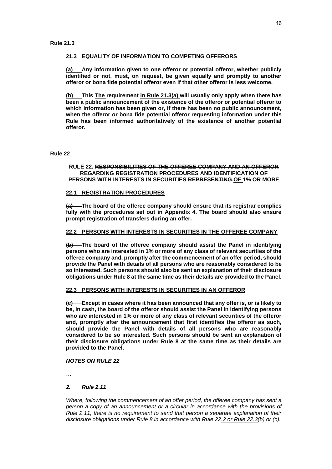## **21.3 EQUALITY OF INFORMATION TO COMPETING OFFERORS**

**(a) Any information given to one offeror or potential offeror, whether publicly identified or not, must, on request, be given equally and promptly to another offeror or bona fide potential offeror even if that other offeror is less welcome.**

**(b) This The requirement in Rule 21.3(a) will usually only apply when there has been a public announcement of the existence of the offeror or potential offeror to which information has been given or, if there has been no public announcement, when the offeror or bona fide potential offeror requesting information under this Rule has been informed authoritatively of the existence of another potential offeror.**

#### **Rule 22**

## **RULE 22. RESPONSIBILITIES OF THE OFFEREE COMPANY AND AN OFFEROR REGARDING REGISTRATION PROCEDURES AND IDENTIFICATION OF PERSONS WITH INTERESTS IN SECURITIES REPRESENTING OF 1% OR MORE**

## **22.1 REGISTRATION PROCEDURES**

**(a) The board of the offeree company should ensure that its registrar complies fully with the procedures set out in Appendix 4. The board should also ensure prompt registration of transfers during an offer.**

#### **22.2 PERSONS WITH INTERESTS IN SECURITIES IN THE OFFEREE COMPANY**

**(b) The board of the offeree company should assist the Panel in identifying persons who are interested in 1% or more of any class of relevant securities of the offeree company and, promptly after the commencement of an offer period, should provide the Panel with details of all persons who are reasonably considered to be so interested. Such persons should also be sent an explanation of their disclosure obligations under Rule 8 at the same time as their details are provided to the Panel.**

#### **22.3 PERSONS WITH INTERESTS IN SECURITIES IN AN OFFEROR**

**(c) Except in cases where it has been announced that any offer is, or is likely to be, in cash, the board of the offeror should assist the Panel in identifying persons who are interested in 1% or more of any class of relevant securities of the offeror and, promptly after the announcement that first identifies the offeror as such, should provide the Panel with details of all persons who are reasonably considered to be so interested. Such persons should be sent an explanation of their disclosure obligations under Rule 8 at the same time as their details are provided to the Panel.**

#### *NOTES ON RULE 22*

…

## *2. Rule 2.11*

*Where, following the commencement of an offer period, the offeree company has sent a* person a copy of an announcement or a circular in accordance with the provisions of *Rule 2.11, there is no requirement to send that person a separate explanation of their disclosure obligations under Rule 8 in accordance with Rule 22.2 or Rule 22.3(b) or (c).*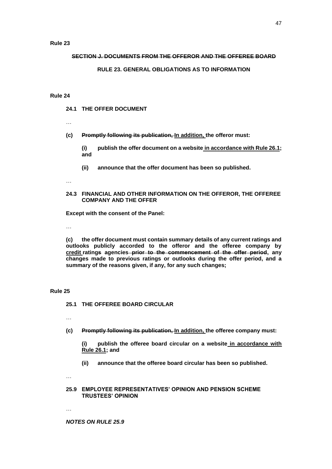#### **SECTION J. DOCUMENTS FROM THE OFFEROR AND THE OFFEREE BOARD**

#### **RULE 23. GENERAL OBLIGATIONS AS TO INFORMATION**

#### **Rule 24**

- **24.1 THE OFFER DOCUMENT**
- …

**(c) Promptly following its publication, In addition, the offeror must:**

**(i) publish the offer document on a website in accordance with Rule 26.1; and**

- **(ii) announce that the offer document has been so published.**
- …

#### **24.3 FINANCIAL AND OTHER INFORMATION ON THE OFFEROR, THE OFFEREE COMPANY AND THE OFFER**

**Except with the consent of the Panel:**

…

**(c) the offer document must contain summary details of any current ratings and outlooks publicly accorded to the offeror and the offeree company by credit ratings agencies prior to the commencement of the offer period, any changes made to previous ratings or outlooks during the offer period, and a summary of the reasons given, if any, for any such changes;**

#### **Rule 25**

**25.1 THE OFFEREE BOARD CIRCULAR**

…

**(c) Promptly following its publication, In addition, the offeree company must:**

**(i) publish the offeree board circular on a website in accordance with Rule 26.1; and**

**(ii) announce that the offeree board circular has been so published.**

…

#### **25.9 EMPLOYEE REPRESENTATIVES' OPINION AND PENSION SCHEME TRUSTEES' OPINION**

…

*NOTES ON RULE 25.9*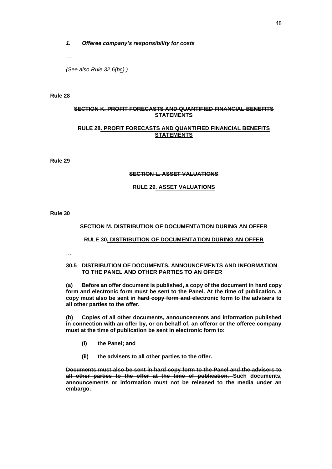#### *1. Offeree company's responsibility for costs*

*…*

*(See also Rule 32.6(bc).)*

#### **Rule 28**

## **SECTION K. PROFIT FORECASTS AND QUANTIFIED FINANCIAL BENEFITS STATEMENTS**

## **RULE 28. PROFIT FORECASTS AND QUANTIFIED FINANCIAL BENEFITS STATEMENTS**

**Rule 29**

## **SECTION L. ASSET VALUATIONS**

## **RULE 29. ASSET VALUATIONS**

**Rule 30**

#### **SECTION M. DISTRIBUTION OF DOCUMENTATION DURING AN OFFER**

#### **RULE 30. DISTRIBUTION OF DOCUMENTATION DURING AN OFFER**

…

#### **30.5 DISTRIBUTION OF DOCUMENTS, ANNOUNCEMENTS AND INFORMATION TO THE PANEL AND OTHER PARTIES TO AN OFFER**

**(a) Before an offer document is published, a copy of the document in hard copy form and electronic form must be sent to the Panel. At the time of publication, a copy must also be sent in hard copy form and electronic form to the advisers to all other parties to the offer.**

**(b) Copies of all other documents, announcements and information published in connection with an offer by, or on behalf of, an offeror or the offeree company must at the time of publication be sent in electronic form to:**

- **(i) the Panel; and**
- **(ii) the advisers to all other parties to the offer.**

**Documents must also be sent in hard copy form to the Panel and the advisers to all other parties to the offer at the time of publication. Such documents, announcements or information must not be released to the media under an embargo.**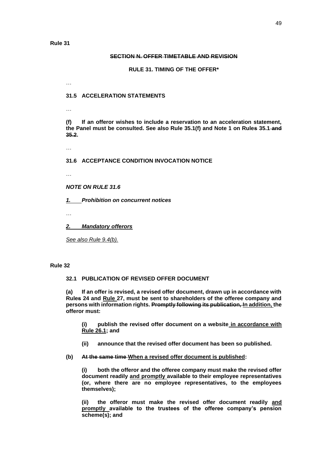#### **SECTION N. OFFER TIMETABLE AND REVISION**

**RULE 31. TIMING OF THE OFFER\***

## **31.5 ACCELERATION STATEMENTS**

…

…

**(f) If an offeror wishes to include a reservation to an acceleration statement, the Panel must be consulted. See also Rule 35.1(f) and Note 1 on Rules 35.1 and 35.2.**

…

## **31.6 ACCEPTANCE CONDITION INVOCATION NOTICE**

…

*NOTE ON RULE 31.6*

*1. Prohibition on concurrent notices*

…

*2. Mandatory offerors*

*See also Rule 9.4(b).*

## **Rule 32**

#### **32.1 PUBLICATION OF REVISED OFFER DOCUMENT**

**(a) If an offer is revised, a revised offer document, drawn up in accordance with Rules 24 and Rule 27, must be sent to shareholders of the offeree company and persons with information rights. Promptly following its publication, In addition, the offeror must:**

**(i) publish the revised offer document on a website in accordance with Rule 26.1; and**

- **(ii) announce that the revised offer document has been so published.**
- **(b) At the same time When a revised offer document is published:**

**(i) both the offeror and the offeree company must make the revised offer document readily and promptly available to their employee representatives (or, where there are no employee representatives, to the employees themselves);**

**(ii) the offeror must make the revised offer document readily and promptly available to the trustees of the offeree company's pension scheme(s); and**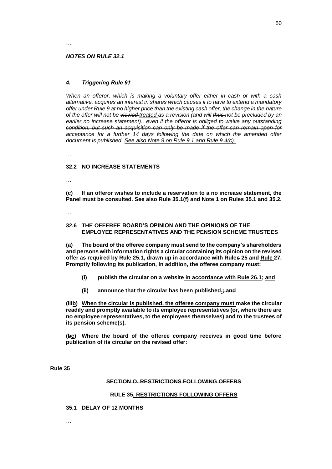#### *NOTES ON RULE 32.1*

…

## *4. Triggering Rule 9†*

*When an offeror, which is making a voluntary offer either in cash or with a cash alternative, acquires an interest in shares which causes it to have to extend a mandatory offer under Rule 9 at no higher price than the existing cash offer, the change in the nature of the offer will not be viewed treated as a revision (and will thus not be precluded by an*  earlier no increase statement).<del>, even if the offeror is obliged to waive any outstanding</del> *condition, but such an acquisition can only be made if the offer can remain open for acceptance for a further 14 days following the date on which the amended offer document is published. See also Note 9 on Rule 9.1 and Rule 9.4(c).*

…

#### **32.2 NO INCREASE STATEMENTS**

…

**(c) If an offeror wishes to include a reservation to a no increase statement, the Panel must be consulted. See also Rule 35.1(f) and Note 1 on Rules 35.1 and 35.2.**

…

#### **32.6 THE OFFEREE BOARD'S OPINION AND THE OPINIONS OF THE EMPLOYEE REPRESENTATIVES AND THE PENSION SCHEME TRUSTEES**

**(a) The board of the offeree company must send to the company's shareholders and persons with information rights a circular containing its opinion on the revised offer as required by Rule 25.1, drawn up in accordance with Rules 25 and Rule 27. Promptly following its publication, In addition, the offeree company must:**

- **(i) publish the circular on a website in accordance with Rule 26.1; and**
- **(ii) announce that the circular has been published.; and**

**(iiib) When the circular is published, the offeree company must make the circular readily and promptly available to its employee representatives (or, where there are no employee representatives, to the employees themselves) and to the trustees of its pension scheme(s).**

**(bc) Where the board of the offeree company receives in good time before publication of its circular on the revised offer:**

**Rule 35**

#### **SECTION O. RESTRICTIONS FOLLOWING OFFERS**

#### **RULE 35. RESTRICTIONS FOLLOWING OFFERS**

#### **35.1 DELAY OF 12 MONTHS**

…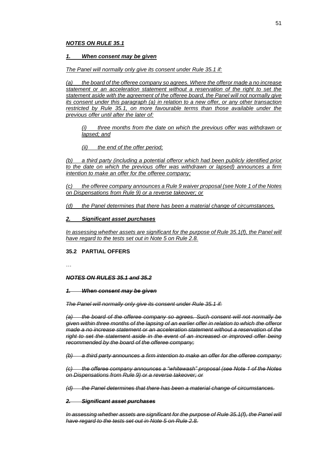#### *1. When consent may be given*

#### *The Panel will normally only give its consent under Rule 35.1 if:*

*(a) the board of the offeree company so agrees. Where the offeror made a no increase statement or an acceleration statement without a reservation of the right to set the statement aside with the agreement of the offeree board, the Panel will not normally give its consent under this paragraph (a) in relation to a new offer, or any other transaction restricted by Rule 35.1, on more favourable terms than those available under the previous offer until after the later of:*

*(i) three months from the date on which the previous offer was withdrawn or lapsed; and*

*(ii) the end of the offer period;*

*(b) a third party (including a potential offeror which had been publicly identified prior to the date on which the previous offer was withdrawn or lapsed) announces a firm intention to make an offer for the offeree company;*

*(c) the offeree company announces a Rule 9 waiver proposal (see Note 1 of the Notes on Dispensations from Rule 9) or a reverse takeover; or*

*(d) the Panel determines that there has been a material change of circumstances.*

#### *2. Significant asset purchases*

In assessing whether assets are significant for the purpose of Rule 35.1(f), the Panel will *have regard to the tests set out in Note 5 on Rule 2.8.*

#### **35.2 PARTIAL OFFERS**

…

#### *NOTES ON RULES 35.1 and 35.2*

#### *1. When consent may be given*

*The Panel will normally only give its consent under Rule 35.1 if:*

*(a) the board of the offeree company so agrees. Such consent will not normally be given within three months of the lapsing of an earlier offer in relation to which the offeror made a no increase statement or an acceleration statement without a reservation of the right to set the statement aside in the event of an increased or improved offer being recommended by the board of the offeree company;*

*(b) a third party announces a firm intention to make an offer for the offeree company;*

*(c) the offeree company announces a "whitewash" proposal (see Note 1 of the Notes on Dispensations from Rule 9) or a reverse takeover; or*

*(d) the Panel determines that there has been a material change of circumstances.*

#### *2. Significant asset purchases*

*In assessing whether assets are significant for the purpose of Rule 35.1(f), the Panel will have regard to the tests set out in Note 5 on Rule 2.8.*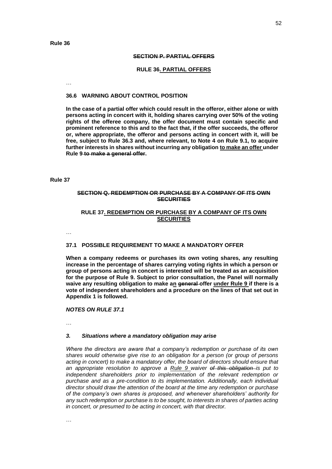#### **SECTION P. PARTIAL OFFERS**

#### **RULE 36. PARTIAL OFFERS**

…

## **36.6 WARNING ABOUT CONTROL POSITION**

**In the case of a partial offer which could result in the offeror, either alone or with persons acting in concert with it, holding shares carrying over 50% of the voting rights of the offeree company, the offer document must contain specific and prominent reference to this and to the fact that, if the offer succeeds, the offeror or, where appropriate, the offeror and persons acting in concert with it, will be free, subject to Rule 36.3 and, where relevant, to Note 4 on Rule 9.1, to acquire further interests in shares without incurring any obligation to make an offer under Rule 9 to make a general offer.**

#### **Rule 37**

## **SECTION Q. REDEMPTION OR PURCHASE BY A COMPANY OF ITS OWN SECURITIES**

## **RULE 37. REDEMPTION OR PURCHASE BY A COMPANY OF ITS OWN SECURITIES**

…

#### **37.1 POSSIBLE REQUIREMENT TO MAKE A MANDATORY OFFER**

**When a company redeems or purchases its own voting shares, any resulting increase in the percentage of shares carrying voting rights in which a person or group of persons acting in concert is interested will be treated as an acquisition for the purpose of Rule 9. Subject to prior consultation, the Panel will normally waive any resulting obligation to make an general offer under Rule 9 if there is a vote of independent shareholders and a procedure on the lines of that set out in Appendix 1 is followed.**

#### *NOTES ON RULE 37.1*

…

#### *3. Situations where a mandatory obligation may arise*

*Where the directors are aware that a company's redemption or purchase of its own shares would otherwise give rise to an obligation for a person (or group of persons acting in concert) to make a mandatory offer, the board of directors should ensure that an appropriate resolution to approve a Rule 9 waiver of this obligation is put to independent shareholders prior to implementation of the relevant redemption or purchase and as a pre-condition to its implementation. Additionally, each individual director should draw the attention of the board at the time any redemption or purchase of the company's own shares is proposed, and whenever shareholders' authority for any such redemption or purchase is to be sought, to interests in shares of parties acting in concert, or presumed to be acting in concert, with that director.*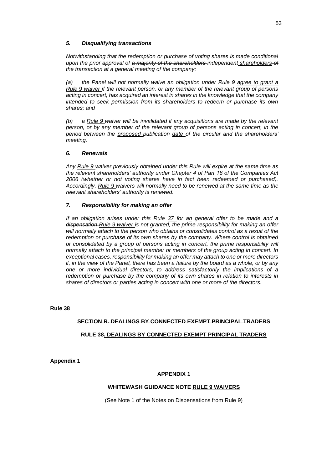## *5. Disqualifying transactions*

*Notwithstanding that the redemption or purchase of voting shares is made conditional upon the prior approval of a majority of the shareholders independent shareholders of the transaction at a general meeting of the company:*

*(a) the Panel will not normally waive an obligation under Rule 9 agree to grant a Rule 9 waiver if the relevant person, or any member of the relevant group of persons acting in concert, has acquired an interest in shares in the knowledge that the company intended to seek permission from its shareholders to redeem or purchase its own shares; and* 

*(b) a Rule 9 waiver will be invalidated if any acquisitions are made by the relevant person, or by any member of the relevant group of persons acting in concert, in the period between the proposed publication date of the circular and the shareholders' meeting.*

## *6. Renewals*

*Any Rule 9 waiver previously obtained under this Rule will expire at the same time as the relevant shareholders' authority under Chapter 4 of Part 18 of the Companies Act 2006 (whether or not voting shares have in fact been redeemed or purchased). Accordingly, Rule 9 waivers will normally need to be renewed at the same time as the relevant shareholders' authority is renewed.*

## *7. Responsibility for making an offer*

*If an obligation arises under this Rule 37 for an general offer to be made and a dispensation Rule 9 waiver is not granted, the prime responsibility for making an offer will normally attach to the person who obtains or consolidates control as a result of the redemption or purchase of its own shares by the company. Where control is obtained or consolidated by a group of persons acting in concert, the prime responsibility will normally attach to the principal member or members of the group acting in concert. In exceptional cases, responsibility for making an offer may attach to one or more directors if, in the view of the Panel, there has been a failure by the board as a whole, or by any one or more individual directors, to address satisfactorily the implications of a redemption or purchase by the company of its own shares in relation to interests in shares of directors or parties acting in concert with one or more of the directors.*

**Rule 38**

## **SECTION R. DEALINGS BY CONNECTED EXEMPT PRINCIPAL TRADERS**

#### **RULE 38. DEALINGS BY CONNECTED EXEMPT PRINCIPAL TRADERS**

**Appendix 1**

#### **APPENDIX 1**

#### **WHITEWASH GUIDANCE NOTE RULE 9 WAIVERS**

(See Note 1 of the Notes on Dispensations from Rule 9)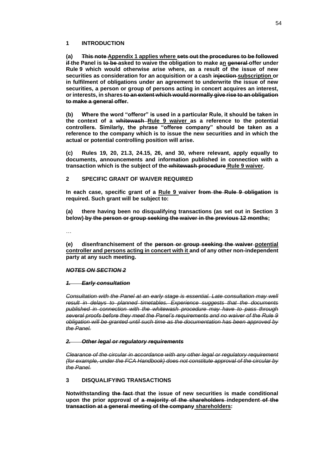## **1 INTRODUCTION**

**(a) This note Appendix 1 applies where sets out the procedures to be followed if the Panel is to be asked to waive the obligation to make an general offer under Rule 9 which would otherwise arise where, as a result of the issue of new securities as consideration for an acquisition or a cash injection subscription or in fulfilment of obligations under an agreement to underwrite the issue of new securities, a person or group of persons acting in concert acquires an interest, or interests, in shares to an extent which would normally give rise to an obligation to make a general offer.**

**(b) Where the word "offeror" is used in a particular Rule, it should be taken in the context of a whitewash Rule 9 waiver as a reference to the potential controllers. Similarly, the phrase "offeree company" should be taken as a reference to the company which is to issue the new securities and in which the actual or potential controlling position will arise.**

**(c) Rules 19, 20, 21.3, 24.15, 26, and 30, where relevant, apply equally to documents, announcements and information published in connection with a transaction which is the subject of the whitewash procedure Rule 9 waiver.**

## **2 SPECIFIC GRANT OF WAIVER REQUIRED**

**In each case, specific grant of a Rule 9 waiver from the Rule 9 obligation is required. Such grant will be subject to:**

**(a) there having been no disqualifying transactions (as set out in Section 3 below) by the person or group seeking the waiver in the previous 12 months;**

…

**(e) disenfranchisement of the person or group seeking the waiver potential controller and persons acting in concert with it and of any other non-independent party at any such meeting.**

#### *NOTES ON SECTION 2*

#### *1. Early consultation*

*Consultation with the Panel at an early stage is essential. Late consultation may well result in delays to planned timetables. Experience suggests that the documents published in connection with the whitewash procedure may have to pass through several proofs before they meet the Panel's requirements and no waiver of the Rule 9 obligation will be granted until such time as the documentation has been approved by the Panel.*

#### *2. Other legal or regulatory requirements*

*Clearance of the circular in accordance with any other legal or regulatory requirement (for example, under the FCA Handbook) does not constitute approval of the circular by the Panel.*

## **3 DISQUALIFYING TRANSACTIONS**

**Notwithstanding the fact that the issue of new securities is made conditional upon the prior approval of a majority of the shareholders independent of the transaction at a general meeting of the company shareholders:**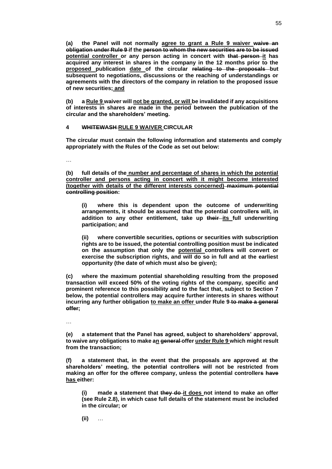**(a) the Panel will not normally agree to grant a Rule 9 waiver waive an obligation under Rule 9 if the person to whom the new securities are to be issued potential controller or any person acting in concert with that person it has acquired any interest in shares in the company in the 12 months prior to the proposed publication date of the circular relating to the proposals but subsequent to negotiations, discussions or the reaching of understandings or agreements with the directors of the company in relation to the proposed issue of new securities; and**

**(b) a Rule 9 waiver will not be granted, or will be invalidated if any acquisitions of interests in shares are made in the period between the publication of the circular and the shareholders' meeting.**

## **4 WHITEWASH RULE 9 WAIVER CIRCULAR**

**The circular must contain the following information and statements and comply appropriately with the Rules of the Code as set out below:**

…

**(b) full details of the number and percentage of shares in which the potential controller and persons acting in concert with it might become interested (together with details of the different interests concerned) maximum potential controlling position:**

**(i) where this is dependent upon the outcome of underwriting arrangements, it should be assumed that the potential controllers will, in addition to any other entitlement, take up their its full underwriting participation; and**

**(ii) where convertible securities, options or securities with subscription rights are to be issued, the potential controlling position must be indicated on the assumption that only the potential controllers will convert or exercise the subscription rights, and will do so in full and at the earliest opportunity (the date of which must also be given);**

**(c) where the maximum potential shareholding resulting from the proposed transaction will exceed 50% of the voting rights of the company, specific and prominent reference to this possibility and to the fact that, subject to Section 7 below, the potential controllers may acquire further interests in shares without incurring any further obligation to make an offer under Rule 9 to make a general offer;**

…

**(e) a statement that the Panel has agreed, subject to shareholders' approval, to waive any obligations to make an general offer under Rule 9 which might result from the transaction;**

**(f) a statement that, in the event that the proposals are approved at the shareholders' meeting, the potential controllers will not be restricted from making an offer for the offeree company, unless the potential controllers have has either:**

**(i) made a statement that they do it does not intend to make an offer (see Rule 2.8), in which case full details of the statement must be included in the circular; or**

**(ii)** …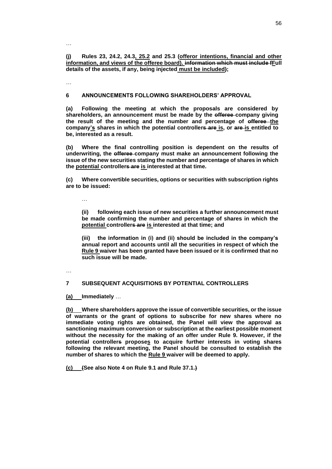**(j) Rules 23, 24.2, 24.3, 25.2 and 25.3 (offeror intentions, financial and other information, and views of the offeree board). information which must include fFull details of the assets, if any, being injected must be included);**

…

…

#### **6 ANNOUNCEMENTS FOLLOWING SHAREHOLDERS' APPROVAL**

**(a) Following the meeting at which the proposals are considered by shareholders, an announcement must be made by the offeree company giving the result of the meeting and the number and percentage of offeree the company's shares in which the potential controllers are is, or are is entitled to be, interested as a result.**

**(b) Where the final controlling position is dependent on the results of underwriting, the offeree company must make an announcement following the issue of the new securities stating the number and percentage of shares in which the potential controllers are is interested at that time.**

**(c) Where convertible securities, options or securities with subscription rights are to be issued:**

…

**(ii) following each issue of new securities a further announcement must be made confirming the number and percentage of shares in which the potential controllers are is interested at that time; and**

**(iii) the information in (i) and (ii) should be included in the company's annual report and accounts until all the securities in respect of which the Rule 9 waiver has been granted have been issued or it is confirmed that no such issue will be made.**

…

## **7 SUBSEQUENT ACQUISITIONS BY POTENTIAL CONTROLLERS**

**(a) Immediately** …

**(b) Where shareholders approve the issue of convertible securities, or the issue of warrants or the grant of options to subscribe for new shares where no immediate voting rights are obtained, the Panel will view the approval as sanctioning maximum conversion or subscription at the earliest possible moment without the necessity for the making of an offer under Rule 9. However, if the potential controllers proposes to acquire further interests in voting shares following the relevant meeting, the Panel should be consulted to establish the number of shares to which the Rule 9 waiver will be deemed to apply.**

**(c) (See also Note 4 on Rule 9.1 and Rule 37.1.)**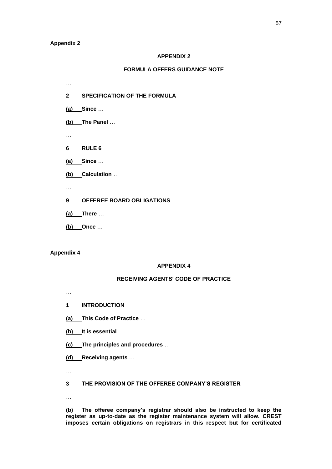#### **Appendix 2**

…

## **APPENDIX 2**

## **FORMULA OFFERS GUIDANCE NOTE**

**2 SPECIFICATION OF THE FORMULA**

**(a) Since** …

**(b) The Panel** …

…

**6 RULE 6**

**(a) Since** …

**(b) Calculation** …

…

**9 OFFEREE BOARD OBLIGATIONS**

**(a) There** …

**(b) Once** …

## **Appendix 4**

## **APPENDIX 4**

## **RECEIVING AGENTS' CODE OF PRACTICE**

…

**1 INTRODUCTION**

**(a) This Code of Practice** …

**(b) It is essential** …

**(c) The principles and procedures** …

**(d) Receiving agents** …

…

**3 THE PROVISION OF THE OFFEREE COMPANY'S REGISTER**

…

**(b) The offeree company's registrar should also be instructed to keep the register as up-to-date as the register maintenance system will allow. CREST imposes certain obligations on registrars in this respect but for certificated**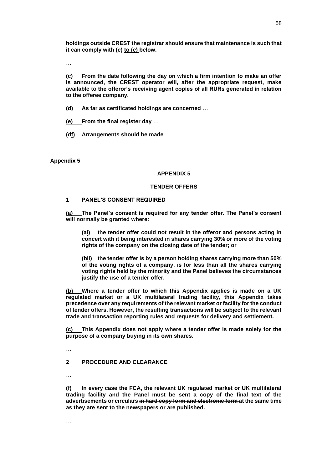**holdings outside CREST the registrar should ensure that maintenance is such that it can comply with (c) to (e) below.**

…

**(c) From the date following the day on which a firm intention to make an offer is announced, the CREST operator will, after the appropriate request, make available to the offeror's receiving agent copies of all RURs generated in relation to the offeree company.**

**(d) As far as certificated holdings are concerned** …

**(e) From the final register day** …

**(df) Arrangements should be made** …

**Appendix 5**

#### **APPENDIX 5**

#### **TENDER OFFERS**

## **1 PANEL'S CONSENT REQUIRED**

**(a) The Panel's consent is required for any tender offer. The Panel's consent will normally be granted where:**

**(ai) the tender offer could not result in the offeror and persons acting in concert with it being interested in shares carrying 30% or more of the voting rights of the company on the closing date of the tender; or**

**(bii) the tender offer is by a person holding shares carrying more than 50% of the voting rights of a company, is for less than all the shares carrying voting rights held by the minority and the Panel believes the circumstances justify the use of a tender offer.**

**(b) Where a tender offer to which this Appendix applies is made on a UK regulated market or a UK multilateral trading facility, this Appendix takes precedence over any requirements of the relevant market or facility for the conduct of tender offers. However, the resulting transactions will be subject to the relevant trade and transaction reporting rules and requests for delivery and settlement.**

**(c) This Appendix does not apply where a tender offer is made solely for the purpose of a company buying in its own shares.**

…

#### **2 PROCEDURE AND CLEARANCE**

…

**(f) In every case the FCA, the relevant UK regulated market or UK multilateral trading facility and the Panel must be sent a copy of the final text of the advertisements or circulars in hard copy form and electronic form at the same time as they are sent to the newspapers or are published.**

…